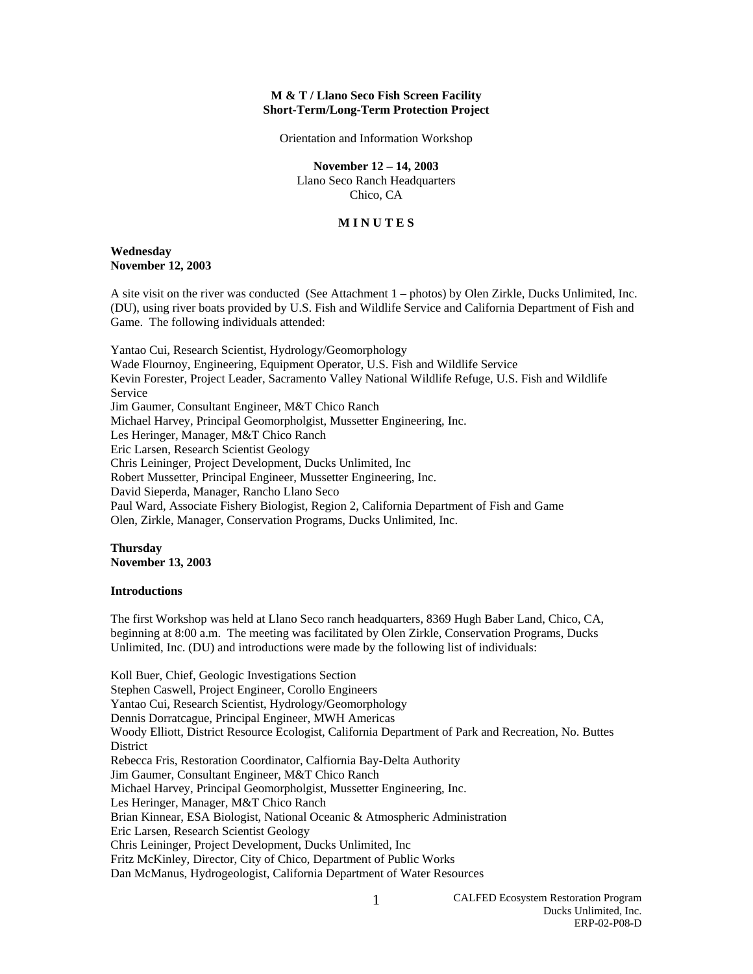# **M & T / Llano Seco Fish Screen Facility Short-Term/Long-Term Protection Project**

Orientation and Information Workshop

#### **November 12 – 14, 2003**

Llano Seco Ranch Headquarters Chico, CA

# **M I N U T E S**

### **Wednesday November 12, 2003**

A site visit on the river was conducted (See Attachment 1 – photos) by Olen Zirkle, Ducks Unlimited, Inc. (DU), using river boats provided by U.S. Fish and Wildlife Service and California Department of Fish and Game. The following individuals attended:

Yantao Cui, Research Scientist, Hydrology/Geomorphology Wade Flournoy, Engineering, Equipment Operator, U.S. Fish and Wildlife Service Kevin Forester, Project Leader, Sacramento Valley National Wildlife Refuge, U.S. Fish and Wildlife Service Jim Gaumer, Consultant Engineer, M&T Chico Ranch Michael Harvey, Principal Geomorpholgist, Mussetter Engineering, Inc. Les Heringer, Manager, M&T Chico Ranch Eric Larsen, Research Scientist Geology Chris Leininger, Project Development, Ducks Unlimited, Inc Robert Mussetter, Principal Engineer, Mussetter Engineering, Inc. David Sieperda, Manager, Rancho Llano Seco Paul Ward, Associate Fishery Biologist, Region 2, California Department of Fish and Game Olen, Zirkle, Manager, Conservation Programs, Ducks Unlimited, Inc.

# **Thursday November 13, 2003**

## **Introductions**

The first Workshop was held at Llano Seco ranch headquarters, 8369 Hugh Baber Land, Chico, CA, beginning at 8:00 a.m. The meeting was facilitated by Olen Zirkle, Conservation Programs, Ducks Unlimited, Inc. (DU) and introductions were made by the following list of individuals:

Koll Buer, Chief, Geologic Investigations Section Stephen Caswell, Project Engineer, Corollo Engineers Yantao Cui, Research Scientist, Hydrology/Geomorphology Dennis Dorratcague, Principal Engineer, MWH Americas Woody Elliott, District Resource Ecologist, California Department of Park and Recreation, No. Buttes **District** Rebecca Fris, Restoration Coordinator, Calfiornia Bay-Delta Authority Jim Gaumer, Consultant Engineer, M&T Chico Ranch Michael Harvey, Principal Geomorpholgist, Mussetter Engineering, Inc. Les Heringer, Manager, M&T Chico Ranch Brian Kinnear, ESA Biologist, National Oceanic & Atmospheric Administration Eric Larsen, Research Scientist Geology Chris Leininger, Project Development, Ducks Unlimited, Inc Fritz McKinley, Director, City of Chico, Department of Public Works Dan McManus, Hydrogeologist, California Department of Water Resources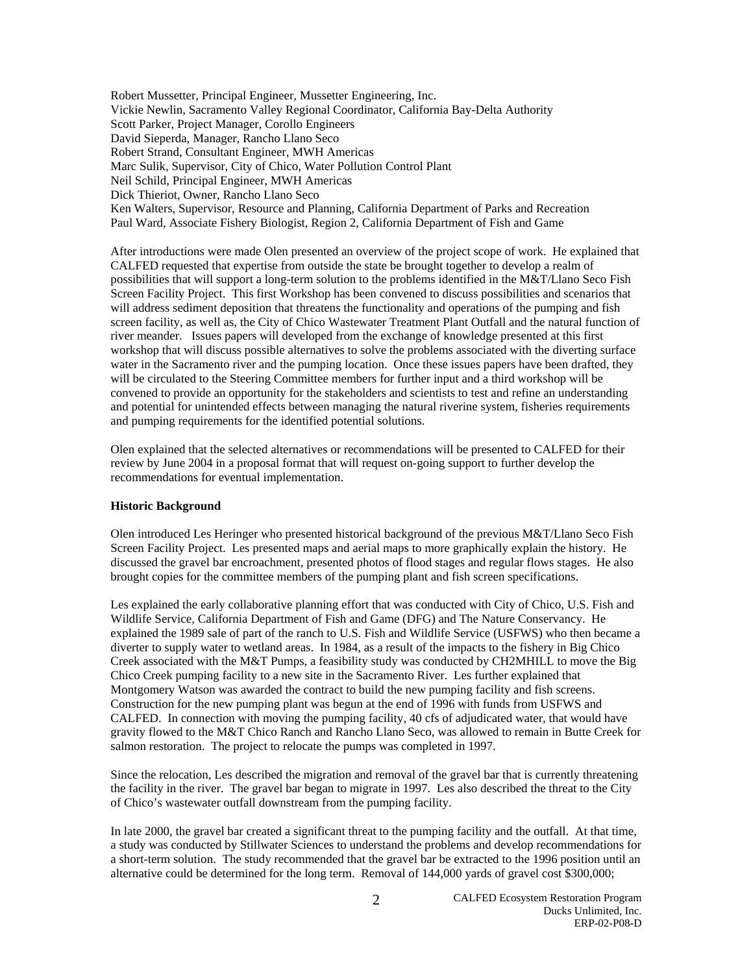Robert Mussetter, Principal Engineer, Mussetter Engineering, Inc. Vickie Newlin, Sacramento Valley Regional Coordinator, California Bay-Delta Authority Scott Parker, Project Manager, Corollo Engineers David Sieperda, Manager, Rancho Llano Seco Robert Strand, Consultant Engineer, MWH Americas Marc Sulik, Supervisor, City of Chico, Water Pollution Control Plant Neil Schild, Principal Engineer, MWH Americas Dick Thieriot, Owner, Rancho Llano Seco Ken Walters, Supervisor, Resource and Planning, California Department of Parks and Recreation Paul Ward, Associate Fishery Biologist, Region 2, California Department of Fish and Game

After introductions were made Olen presented an overview of the project scope of work. He explained that CALFED requested that expertise from outside the state be brought together to develop a realm of possibilities that will support a long-term solution to the problems identified in the M&T/Llano Seco Fish Screen Facility Project. This first Workshop has been convened to discuss possibilities and scenarios that will address sediment deposition that threatens the functionality and operations of the pumping and fish screen facility, as well as, the City of Chico Wastewater Treatment Plant Outfall and the natural function of river meander. Issues papers will developed from the exchange of knowledge presented at this first workshop that will discuss possible alternatives to solve the problems associated with the diverting surface water in the Sacramento river and the pumping location. Once these issues papers have been drafted, they will be circulated to the Steering Committee members for further input and a third workshop will be convened to provide an opportunity for the stakeholders and scientists to test and refine an understanding and potential for unintended effects between managing the natural riverine system, fisheries requirements and pumping requirements for the identified potential solutions.

Olen explained that the selected alternatives or recommendations will be presented to CALFED for their review by June 2004 in a proposal format that will request on-going support to further develop the recommendations for eventual implementation.

#### **Historic Background**

Olen introduced Les Heringer who presented historical background of the previous M&T/Llano Seco Fish Screen Facility Project. Les presented maps and aerial maps to more graphically explain the history. He discussed the gravel bar encroachment, presented photos of flood stages and regular flows stages. He also brought copies for the committee members of the pumping plant and fish screen specifications.

Les explained the early collaborative planning effort that was conducted with City of Chico, U.S. Fish and Wildlife Service, California Department of Fish and Game (DFG) and The Nature Conservancy. He explained the 1989 sale of part of the ranch to U.S. Fish and Wildlife Service (USFWS) who then became a diverter to supply water to wetland areas. In 1984, as a result of the impacts to the fishery in Big Chico Creek associated with the M&T Pumps, a feasibility study was conducted by CH2MHILL to move the Big Chico Creek pumping facility to a new site in the Sacramento River. Les further explained that Montgomery Watson was awarded the contract to build the new pumping facility and fish screens. Construction for the new pumping plant was begun at the end of 1996 with funds from USFWS and CALFED. In connection with moving the pumping facility, 40 cfs of adjudicated water, that would have gravity flowed to the M&T Chico Ranch and Rancho Llano Seco, was allowed to remain in Butte Creek for salmon restoration. The project to relocate the pumps was completed in 1997.

Since the relocation, Les described the migration and removal of the gravel bar that is currently threatening the facility in the river. The gravel bar began to migrate in 1997. Les also described the threat to the City of Chico's wastewater outfall downstream from the pumping facility.

In late 2000, the gravel bar created a significant threat to the pumping facility and the outfall. At that time, a study was conducted by Stillwater Sciences to understand the problems and develop recommendations for a short-term solution. The study recommended that the gravel bar be extracted to the 1996 position until an alternative could be determined for the long term. Removal of 144,000 yards of gravel cost \$300,000;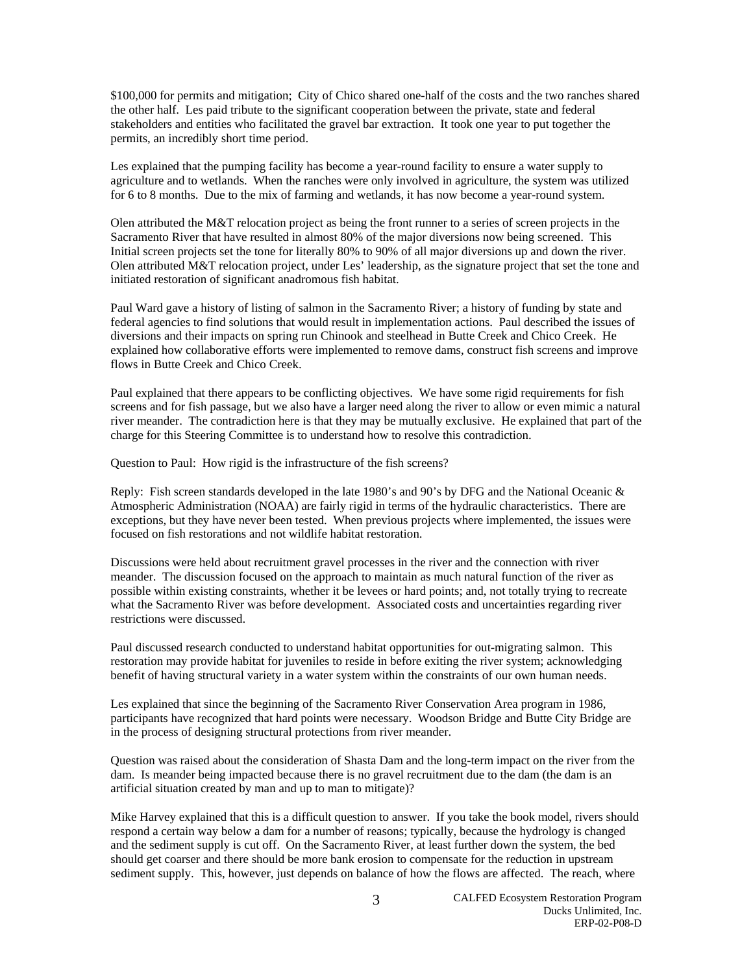\$100,000 for permits and mitigation; City of Chico shared one-half of the costs and the two ranches shared the other half. Les paid tribute to the significant cooperation between the private, state and federal stakeholders and entities who facilitated the gravel bar extraction. It took one year to put together the permits, an incredibly short time period.

Les explained that the pumping facility has become a year-round facility to ensure a water supply to agriculture and to wetlands. When the ranches were only involved in agriculture, the system was utilized for 6 to 8 months. Due to the mix of farming and wetlands, it has now become a year-round system.

Olen attributed the M&T relocation project as being the front runner to a series of screen projects in the Sacramento River that have resulted in almost 80% of the major diversions now being screened. This Initial screen projects set the tone for literally 80% to 90% of all major diversions up and down the river. Olen attributed M&T relocation project, under Les' leadership, as the signature project that set the tone and initiated restoration of significant anadromous fish habitat.

Paul Ward gave a history of listing of salmon in the Sacramento River; a history of funding by state and federal agencies to find solutions that would result in implementation actions. Paul described the issues of diversions and their impacts on spring run Chinook and steelhead in Butte Creek and Chico Creek. He explained how collaborative efforts were implemented to remove dams, construct fish screens and improve flows in Butte Creek and Chico Creek.

Paul explained that there appears to be conflicting objectives. We have some rigid requirements for fish screens and for fish passage, but we also have a larger need along the river to allow or even mimic a natural river meander. The contradiction here is that they may be mutually exclusive. He explained that part of the charge for this Steering Committee is to understand how to resolve this contradiction.

Question to Paul: How rigid is the infrastructure of the fish screens?

Reply: Fish screen standards developed in the late 1980's and 90's by DFG and the National Oceanic & Atmospheric Administration (NOAA) are fairly rigid in terms of the hydraulic characteristics. There are exceptions, but they have never been tested. When previous projects where implemented, the issues were focused on fish restorations and not wildlife habitat restoration.

Discussions were held about recruitment gravel processes in the river and the connection with river meander. The discussion focused on the approach to maintain as much natural function of the river as possible within existing constraints, whether it be levees or hard points; and, not totally trying to recreate what the Sacramento River was before development. Associated costs and uncertainties regarding river restrictions were discussed.

Paul discussed research conducted to understand habitat opportunities for out-migrating salmon. This restoration may provide habitat for juveniles to reside in before exiting the river system; acknowledging benefit of having structural variety in a water system within the constraints of our own human needs.

Les explained that since the beginning of the Sacramento River Conservation Area program in 1986, participants have recognized that hard points were necessary. Woodson Bridge and Butte City Bridge are in the process of designing structural protections from river meander.

Question was raised about the consideration of Shasta Dam and the long-term impact on the river from the dam. Is meander being impacted because there is no gravel recruitment due to the dam (the dam is an artificial situation created by man and up to man to mitigate)?

Mike Harvey explained that this is a difficult question to answer. If you take the book model, rivers should respond a certain way below a dam for a number of reasons; typically, because the hydrology is changed and the sediment supply is cut off. On the Sacramento River, at least further down the system, the bed should get coarser and there should be more bank erosion to compensate for the reduction in upstream sediment supply. This, however, just depends on balance of how the flows are affected. The reach, where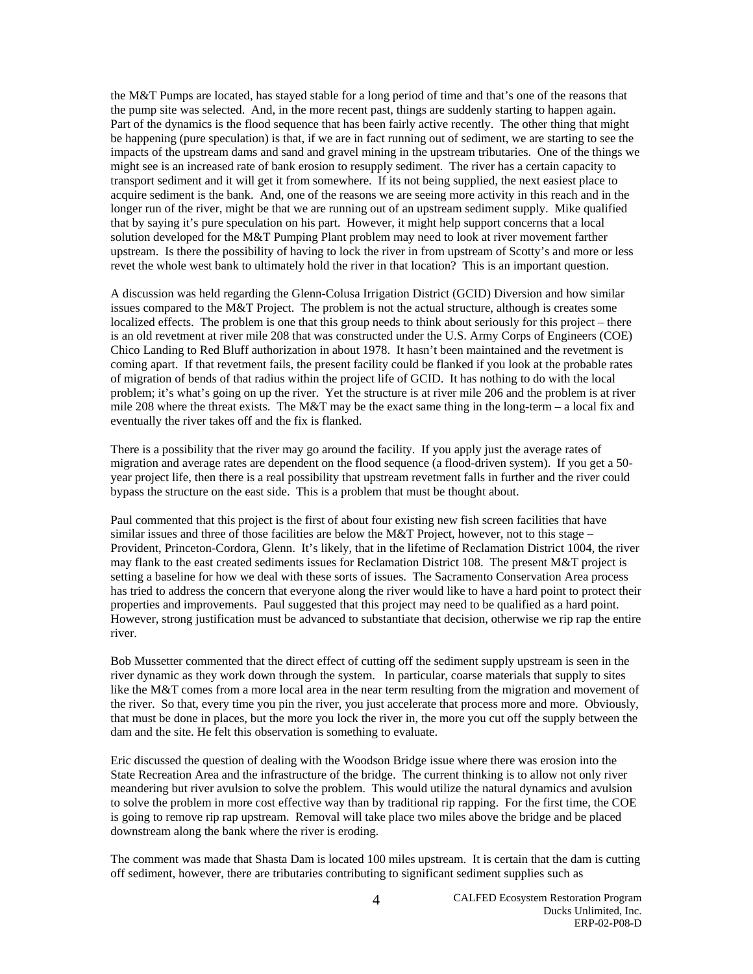the M&T Pumps are located, has stayed stable for a long period of time and that's one of the reasons that the pump site was selected. And, in the more recent past, things are suddenly starting to happen again. Part of the dynamics is the flood sequence that has been fairly active recently. The other thing that might be happening (pure speculation) is that, if we are in fact running out of sediment, we are starting to see the impacts of the upstream dams and sand and gravel mining in the upstream tributaries. One of the things we might see is an increased rate of bank erosion to resupply sediment. The river has a certain capacity to transport sediment and it will get it from somewhere. If its not being supplied, the next easiest place to acquire sediment is the bank. And, one of the reasons we are seeing more activity in this reach and in the longer run of the river, might be that we are running out of an upstream sediment supply. Mike qualified that by saying it's pure speculation on his part. However, it might help support concerns that a local solution developed for the M&T Pumping Plant problem may need to look at river movement farther upstream. Is there the possibility of having to lock the river in from upstream of Scotty's and more or less revet the whole west bank to ultimately hold the river in that location? This is an important question.

A discussion was held regarding the Glenn-Colusa Irrigation District (GCID) Diversion and how similar issues compared to the M&T Project. The problem is not the actual structure, although is creates some localized effects. The problem is one that this group needs to think about seriously for this project – there is an old revetment at river mile 208 that was constructed under the U.S. Army Corps of Engineers (COE) Chico Landing to Red Bluff authorization in about 1978. It hasn't been maintained and the revetment is coming apart. If that revetment fails, the present facility could be flanked if you look at the probable rates of migration of bends of that radius within the project life of GCID. It has nothing to do with the local problem; it's what's going on up the river. Yet the structure is at river mile 206 and the problem is at river mile 208 where the threat exists. The M&T may be the exact same thing in the long-term – a local fix and eventually the river takes off and the fix is flanked.

There is a possibility that the river may go around the facility. If you apply just the average rates of migration and average rates are dependent on the flood sequence (a flood-driven system). If you get a 50 year project life, then there is a real possibility that upstream revetment falls in further and the river could bypass the structure on the east side. This is a problem that must be thought about.

Paul commented that this project is the first of about four existing new fish screen facilities that have similar issues and three of those facilities are below the M&T Project, however, not to this stage – Provident, Princeton-Cordora, Glenn. It's likely, that in the lifetime of Reclamation District 1004, the river may flank to the east created sediments issues for Reclamation District 108. The present M&T project is setting a baseline for how we deal with these sorts of issues. The Sacramento Conservation Area process has tried to address the concern that everyone along the river would like to have a hard point to protect their properties and improvements. Paul suggested that this project may need to be qualified as a hard point. However, strong justification must be advanced to substantiate that decision, otherwise we rip rap the entire river.

Bob Mussetter commented that the direct effect of cutting off the sediment supply upstream is seen in the river dynamic as they work down through the system. In particular, coarse materials that supply to sites like the M&T comes from a more local area in the near term resulting from the migration and movement of the river. So that, every time you pin the river, you just accelerate that process more and more. Obviously, that must be done in places, but the more you lock the river in, the more you cut off the supply between the dam and the site. He felt this observation is something to evaluate.

Eric discussed the question of dealing with the Woodson Bridge issue where there was erosion into the State Recreation Area and the infrastructure of the bridge. The current thinking is to allow not only river meandering but river avulsion to solve the problem. This would utilize the natural dynamics and avulsion to solve the problem in more cost effective way than by traditional rip rapping. For the first time, the COE is going to remove rip rap upstream. Removal will take place two miles above the bridge and be placed downstream along the bank where the river is eroding.

The comment was made that Shasta Dam is located 100 miles upstream. It is certain that the dam is cutting off sediment, however, there are tributaries contributing to significant sediment supplies such as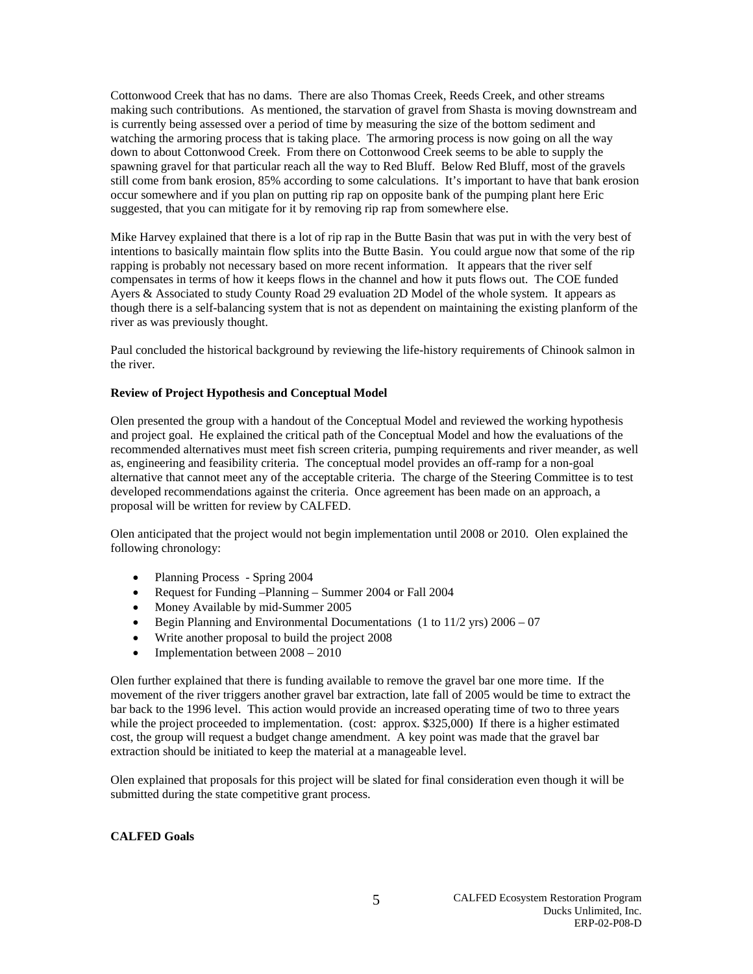Cottonwood Creek that has no dams. There are also Thomas Creek, Reeds Creek, and other streams making such contributions. As mentioned, the starvation of gravel from Shasta is moving downstream and is currently being assessed over a period of time by measuring the size of the bottom sediment and watching the armoring process that is taking place. The armoring process is now going on all the way down to about Cottonwood Creek. From there on Cottonwood Creek seems to be able to supply the spawning gravel for that particular reach all the way to Red Bluff. Below Red Bluff, most of the gravels still come from bank erosion, 85% according to some calculations. It's important to have that bank erosion occur somewhere and if you plan on putting rip rap on opposite bank of the pumping plant here Eric suggested, that you can mitigate for it by removing rip rap from somewhere else.

Mike Harvey explained that there is a lot of rip rap in the Butte Basin that was put in with the very best of intentions to basically maintain flow splits into the Butte Basin. You could argue now that some of the rip rapping is probably not necessary based on more recent information. It appears that the river self compensates in terms of how it keeps flows in the channel and how it puts flows out. The COE funded Ayers & Associated to study County Road 29 evaluation 2D Model of the whole system. It appears as though there is a self-balancing system that is not as dependent on maintaining the existing planform of the river as was previously thought.

Paul concluded the historical background by reviewing the life-history requirements of Chinook salmon in the river.

## **Review of Project Hypothesis and Conceptual Model**

Olen presented the group with a handout of the Conceptual Model and reviewed the working hypothesis and project goal. He explained the critical path of the Conceptual Model and how the evaluations of the recommended alternatives must meet fish screen criteria, pumping requirements and river meander, as well as, engineering and feasibility criteria. The conceptual model provides an off-ramp for a non-goal alternative that cannot meet any of the acceptable criteria. The charge of the Steering Committee is to test developed recommendations against the criteria. Once agreement has been made on an approach, a proposal will be written for review by CALFED.

Olen anticipated that the project would not begin implementation until 2008 or 2010. Olen explained the following chronology:

- Planning Process Spring 2004
- Request for Funding –Planning Summer 2004 or Fall 2004
- Money Available by mid-Summer 2005
- Begin Planning and Environmental Documentations (1 to  $11/2$  yrs)  $2006 07$
- Write another proposal to build the project 2008
- Implementation between  $2008 2010$

Olen further explained that there is funding available to remove the gravel bar one more time. If the movement of the river triggers another gravel bar extraction, late fall of 2005 would be time to extract the bar back to the 1996 level. This action would provide an increased operating time of two to three years while the project proceeded to implementation. (cost: approx. \$325,000) If there is a higher estimated cost, the group will request a budget change amendment. A key point was made that the gravel bar extraction should be initiated to keep the material at a manageable level.

Olen explained that proposals for this project will be slated for final consideration even though it will be submitted during the state competitive grant process.

# **CALFED Goals**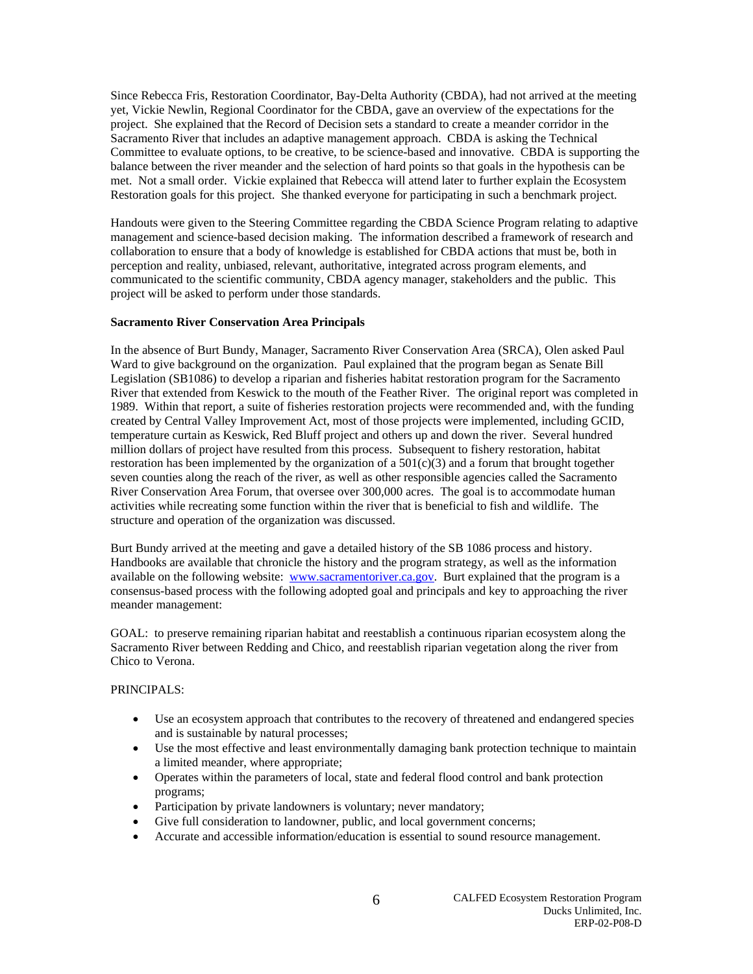Since Rebecca Fris, Restoration Coordinator, Bay-Delta Authority (CBDA), had not arrived at the meeting yet, Vickie Newlin, Regional Coordinator for the CBDA, gave an overview of the expectations for the project. She explained that the Record of Decision sets a standard to create a meander corridor in the Sacramento River that includes an adaptive management approach. CBDA is asking the Technical Committee to evaluate options, to be creative, to be science-based and innovative. CBDA is supporting the balance between the river meander and the selection of hard points so that goals in the hypothesis can be met. Not a small order. Vickie explained that Rebecca will attend later to further explain the Ecosystem Restoration goals for this project. She thanked everyone for participating in such a benchmark project.

Handouts were given to the Steering Committee regarding the CBDA Science Program relating to adaptive management and science-based decision making. The information described a framework of research and collaboration to ensure that a body of knowledge is established for CBDA actions that must be, both in perception and reality, unbiased, relevant, authoritative, integrated across program elements, and communicated to the scientific community, CBDA agency manager, stakeholders and the public. This project will be asked to perform under those standards.

#### **Sacramento River Conservation Area Principals**

In the absence of Burt Bundy, Manager, Sacramento River Conservation Area (SRCA), Olen asked Paul Ward to give background on the organization. Paul explained that the program began as Senate Bill Legislation (SB1086) to develop a riparian and fisheries habitat restoration program for the Sacramento River that extended from Keswick to the mouth of the Feather River. The original report was completed in 1989. Within that report, a suite of fisheries restoration projects were recommended and, with the funding created by Central Valley Improvement Act, most of those projects were implemented, including GCID, temperature curtain as Keswick, Red Bluff project and others up and down the river. Several hundred million dollars of project have resulted from this process. Subsequent to fishery restoration, habitat restoration has been implemented by the organization of a  $501(c)(3)$  and a forum that brought together seven counties along the reach of the river, as well as other responsible agencies called the Sacramento River Conservation Area Forum, that oversee over 300,000 acres. The goal is to accommodate human activities while recreating some function within the river that is beneficial to fish and wildlife. The structure and operation of the organization was discussed.

Burt Bundy arrived at the meeting and gave a detailed history of the SB 1086 process and history. Handbooks are available that chronicle the history and the program strategy, as well as the information available on the following website: www.sacramentoriver.ca.gov. Burt explained that the program is a consensus-based process with the following adopted goal and principals and key to approaching the river meander management:

GOAL: to preserve remaining riparian habitat and reestablish a continuous riparian ecosystem along the Sacramento River between Redding and Chico, and reestablish riparian vegetation along the river from Chico to Verona.

# PRINCIPALS:

- Use an ecosystem approach that contributes to the recovery of threatened and endangered species and is sustainable by natural processes;
- Use the most effective and least environmentally damaging bank protection technique to maintain a limited meander, where appropriate;
- Operates within the parameters of local, state and federal flood control and bank protection programs;
- Participation by private landowners is voluntary; never mandatory;
- Give full consideration to landowner, public, and local government concerns;
- Accurate and accessible information/education is essential to sound resource management.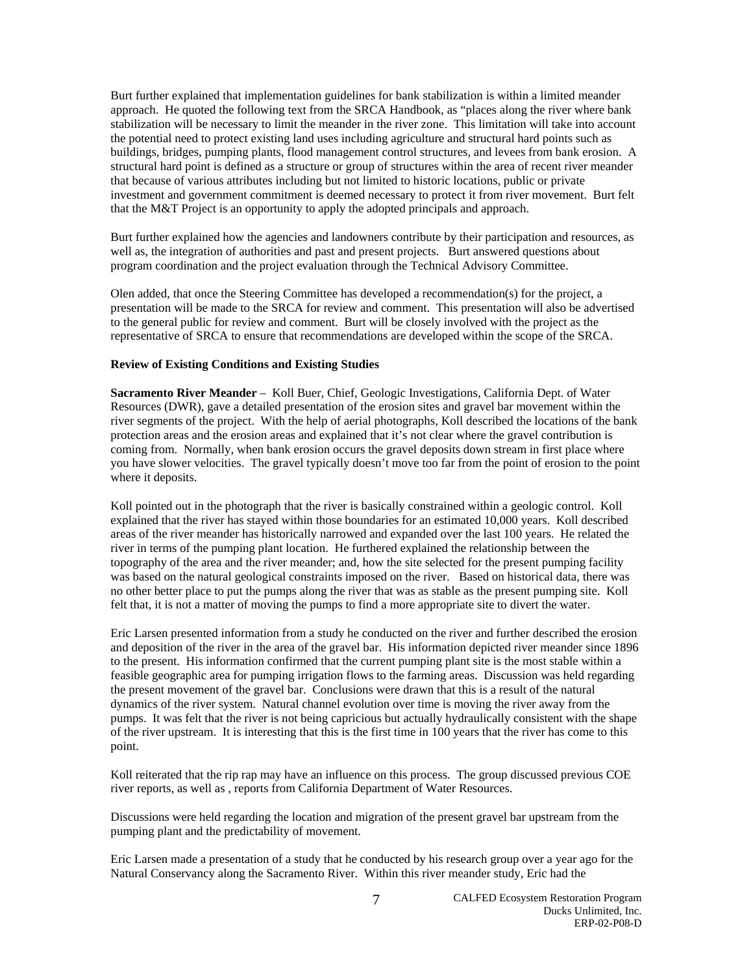Burt further explained that implementation guidelines for bank stabilization is within a limited meander approach. He quoted the following text from the SRCA Handbook, as "places along the river where bank stabilization will be necessary to limit the meander in the river zone. This limitation will take into account the potential need to protect existing land uses including agriculture and structural hard points such as buildings, bridges, pumping plants, flood management control structures, and levees from bank erosion. A structural hard point is defined as a structure or group of structures within the area of recent river meander that because of various attributes including but not limited to historic locations, public or private investment and government commitment is deemed necessary to protect it from river movement. Burt felt that the M&T Project is an opportunity to apply the adopted principals and approach.

Burt further explained how the agencies and landowners contribute by their participation and resources, as well as, the integration of authorities and past and present projects. Burt answered questions about program coordination and the project evaluation through the Technical Advisory Committee.

Olen added, that once the Steering Committee has developed a recommendation(s) for the project, a presentation will be made to the SRCA for review and comment. This presentation will also be advertised to the general public for review and comment. Burt will be closely involved with the project as the representative of SRCA to ensure that recommendations are developed within the scope of the SRCA.

## **Review of Existing Conditions and Existing Studies**

**Sacramento River Meander** – Koll Buer, Chief, Geologic Investigations, California Dept. of Water Resources (DWR), gave a detailed presentation of the erosion sites and gravel bar movement within the river segments of the project. With the help of aerial photographs, Koll described the locations of the bank protection areas and the erosion areas and explained that it's not clear where the gravel contribution is coming from. Normally, when bank erosion occurs the gravel deposits down stream in first place where you have slower velocities. The gravel typically doesn't move too far from the point of erosion to the point where it deposits.

Koll pointed out in the photograph that the river is basically constrained within a geologic control. Koll explained that the river has stayed within those boundaries for an estimated 10,000 years. Koll described areas of the river meander has historically narrowed and expanded over the last 100 years. He related the river in terms of the pumping plant location. He furthered explained the relationship between the topography of the area and the river meander; and, how the site selected for the present pumping facility was based on the natural geological constraints imposed on the river. Based on historical data, there was no other better place to put the pumps along the river that was as stable as the present pumping site. Koll felt that, it is not a matter of moving the pumps to find a more appropriate site to divert the water.

Eric Larsen presented information from a study he conducted on the river and further described the erosion and deposition of the river in the area of the gravel bar. His information depicted river meander since 1896 to the present. His information confirmed that the current pumping plant site is the most stable within a feasible geographic area for pumping irrigation flows to the farming areas. Discussion was held regarding the present movement of the gravel bar. Conclusions were drawn that this is a result of the natural dynamics of the river system. Natural channel evolution over time is moving the river away from the pumps. It was felt that the river is not being capricious but actually hydraulically consistent with the shape of the river upstream. It is interesting that this is the first time in 100 years that the river has come to this point.

Koll reiterated that the rip rap may have an influence on this process. The group discussed previous COE river reports, as well as , reports from California Department of Water Resources.

Discussions were held regarding the location and migration of the present gravel bar upstream from the pumping plant and the predictability of movement.

Eric Larsen made a presentation of a study that he conducted by his research group over a year ago for the Natural Conservancy along the Sacramento River. Within this river meander study, Eric had the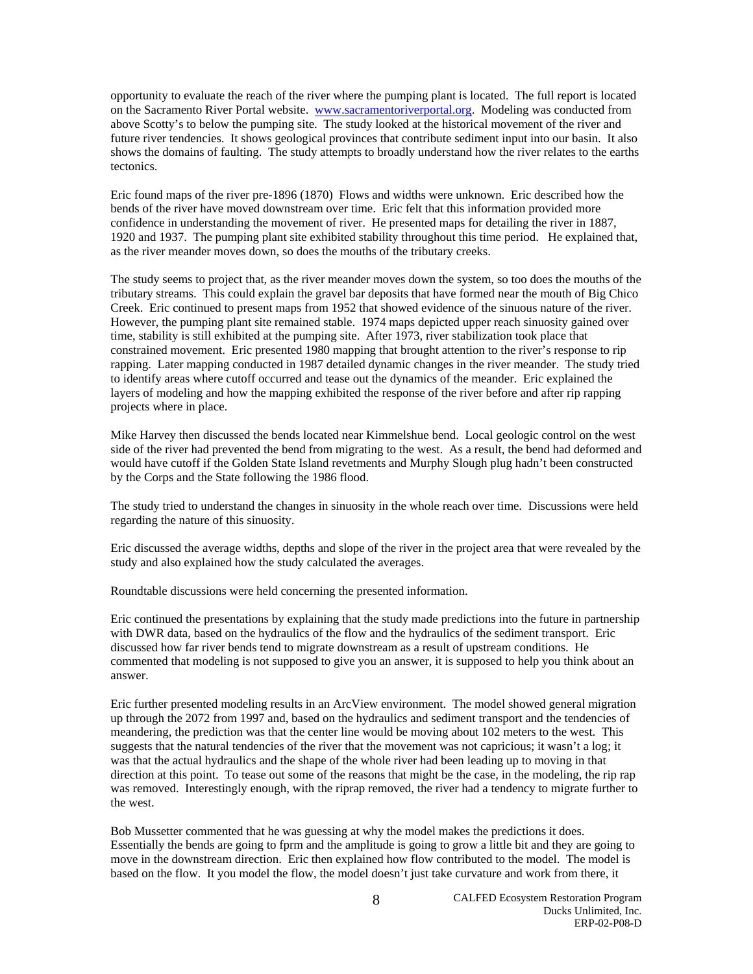opportunity to evaluate the reach of the river where the pumping plant is located. The full report is located on the Sacramento River Portal website. www.sacramentoriverportal.org. Modeling was conducted from above Scotty's to below the pumping site. The study looked at the historical movement of the river and future river tendencies. It shows geological provinces that contribute sediment input into our basin. It also shows the domains of faulting. The study attempts to broadly understand how the river relates to the earths tectonics.

Eric found maps of the river pre-1896 (1870) Flows and widths were unknown. Eric described how the bends of the river have moved downstream over time. Eric felt that this information provided more confidence in understanding the movement of river. He presented maps for detailing the river in 1887, 1920 and 1937. The pumping plant site exhibited stability throughout this time period. He explained that, as the river meander moves down, so does the mouths of the tributary creeks.

The study seems to project that, as the river meander moves down the system, so too does the mouths of the tributary streams. This could explain the gravel bar deposits that have formed near the mouth of Big Chico Creek. Eric continued to present maps from 1952 that showed evidence of the sinuous nature of the river. However, the pumping plant site remained stable. 1974 maps depicted upper reach sinuosity gained over time, stability is still exhibited at the pumping site. After 1973, river stabilization took place that constrained movement. Eric presented 1980 mapping that brought attention to the river's response to rip rapping. Later mapping conducted in 1987 detailed dynamic changes in the river meander. The study tried to identify areas where cutoff occurred and tease out the dynamics of the meander. Eric explained the layers of modeling and how the mapping exhibited the response of the river before and after rip rapping projects where in place.

Mike Harvey then discussed the bends located near Kimmelshue bend. Local geologic control on the west side of the river had prevented the bend from migrating to the west. As a result, the bend had deformed and would have cutoff if the Golden State Island revetments and Murphy Slough plug hadn't been constructed by the Corps and the State following the 1986 flood.

The study tried to understand the changes in sinuosity in the whole reach over time. Discussions were held regarding the nature of this sinuosity.

Eric discussed the average widths, depths and slope of the river in the project area that were revealed by the study and also explained how the study calculated the averages.

Roundtable discussions were held concerning the presented information.

Eric continued the presentations by explaining that the study made predictions into the future in partnership with DWR data, based on the hydraulics of the flow and the hydraulics of the sediment transport. Eric discussed how far river bends tend to migrate downstream as a result of upstream conditions. He commented that modeling is not supposed to give you an answer, it is supposed to help you think about an answer.

Eric further presented modeling results in an ArcView environment. The model showed general migration up through the 2072 from 1997 and, based on the hydraulics and sediment transport and the tendencies of meandering, the prediction was that the center line would be moving about 102 meters to the west. This suggests that the natural tendencies of the river that the movement was not capricious; it wasn't a log; it was that the actual hydraulics and the shape of the whole river had been leading up to moving in that direction at this point. To tease out some of the reasons that might be the case, in the modeling, the rip rap was removed. Interestingly enough, with the riprap removed, the river had a tendency to migrate further to the west.

Bob Mussetter commented that he was guessing at why the model makes the predictions it does. Essentially the bends are going to fprm and the amplitude is going to grow a little bit and they are going to move in the downstream direction. Eric then explained how flow contributed to the model. The model is based on the flow. It you model the flow, the model doesn't just take curvature and work from there, it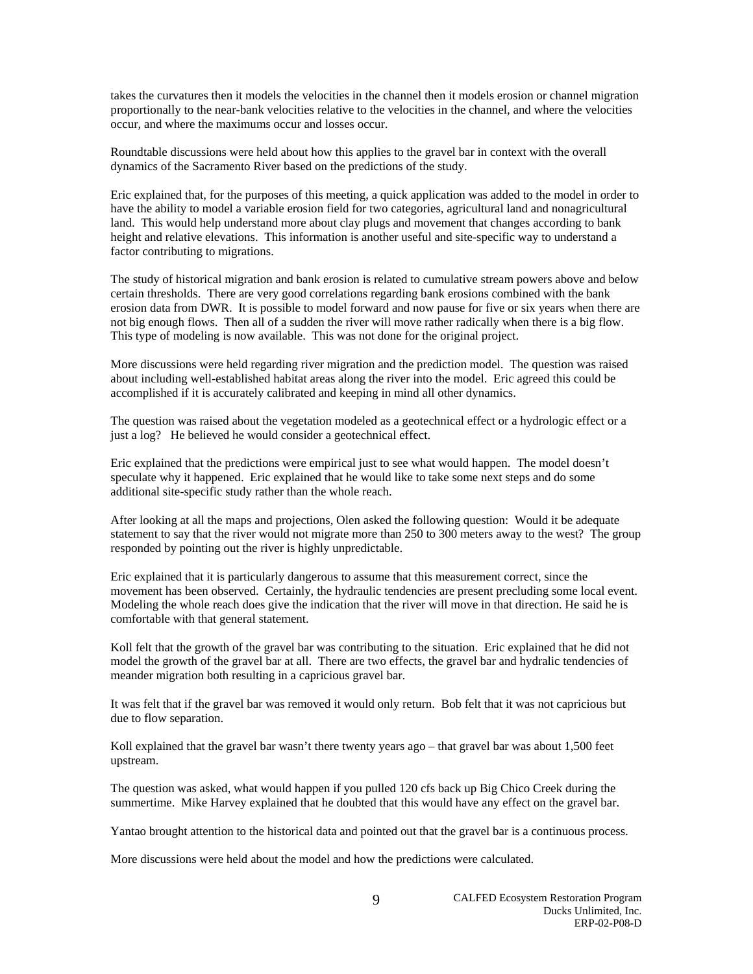takes the curvatures then it models the velocities in the channel then it models erosion or channel migration proportionally to the near-bank velocities relative to the velocities in the channel, and where the velocities occur, and where the maximums occur and losses occur.

Roundtable discussions were held about how this applies to the gravel bar in context with the overall dynamics of the Sacramento River based on the predictions of the study.

Eric explained that, for the purposes of this meeting, a quick application was added to the model in order to have the ability to model a variable erosion field for two categories, agricultural land and nonagricultural land. This would help understand more about clay plugs and movement that changes according to bank height and relative elevations. This information is another useful and site-specific way to understand a factor contributing to migrations.

The study of historical migration and bank erosion is related to cumulative stream powers above and below certain thresholds. There are very good correlations regarding bank erosions combined with the bank erosion data from DWR. It is possible to model forward and now pause for five or six years when there are not big enough flows. Then all of a sudden the river will move rather radically when there is a big flow. This type of modeling is now available. This was not done for the original project.

More discussions were held regarding river migration and the prediction model. The question was raised about including well-established habitat areas along the river into the model. Eric agreed this could be accomplished if it is accurately calibrated and keeping in mind all other dynamics.

The question was raised about the vegetation modeled as a geotechnical effect or a hydrologic effect or a just a log? He believed he would consider a geotechnical effect.

Eric explained that the predictions were empirical just to see what would happen. The model doesn't speculate why it happened. Eric explained that he would like to take some next steps and do some additional site-specific study rather than the whole reach.

After looking at all the maps and projections, Olen asked the following question: Would it be adequate statement to say that the river would not migrate more than 250 to 300 meters away to the west? The group responded by pointing out the river is highly unpredictable.

Eric explained that it is particularly dangerous to assume that this measurement correct, since the movement has been observed. Certainly, the hydraulic tendencies are present precluding some local event. Modeling the whole reach does give the indication that the river will move in that direction. He said he is comfortable with that general statement.

Koll felt that the growth of the gravel bar was contributing to the situation. Eric explained that he did not model the growth of the gravel bar at all. There are two effects, the gravel bar and hydralic tendencies of meander migration both resulting in a capricious gravel bar.

It was felt that if the gravel bar was removed it would only return. Bob felt that it was not capricious but due to flow separation.

Koll explained that the gravel bar wasn't there twenty years ago – that gravel bar was about 1,500 feet upstream.

The question was asked, what would happen if you pulled 120 cfs back up Big Chico Creek during the summertime. Mike Harvey explained that he doubted that this would have any effect on the gravel bar.

Yantao brought attention to the historical data and pointed out that the gravel bar is a continuous process.

More discussions were held about the model and how the predictions were calculated.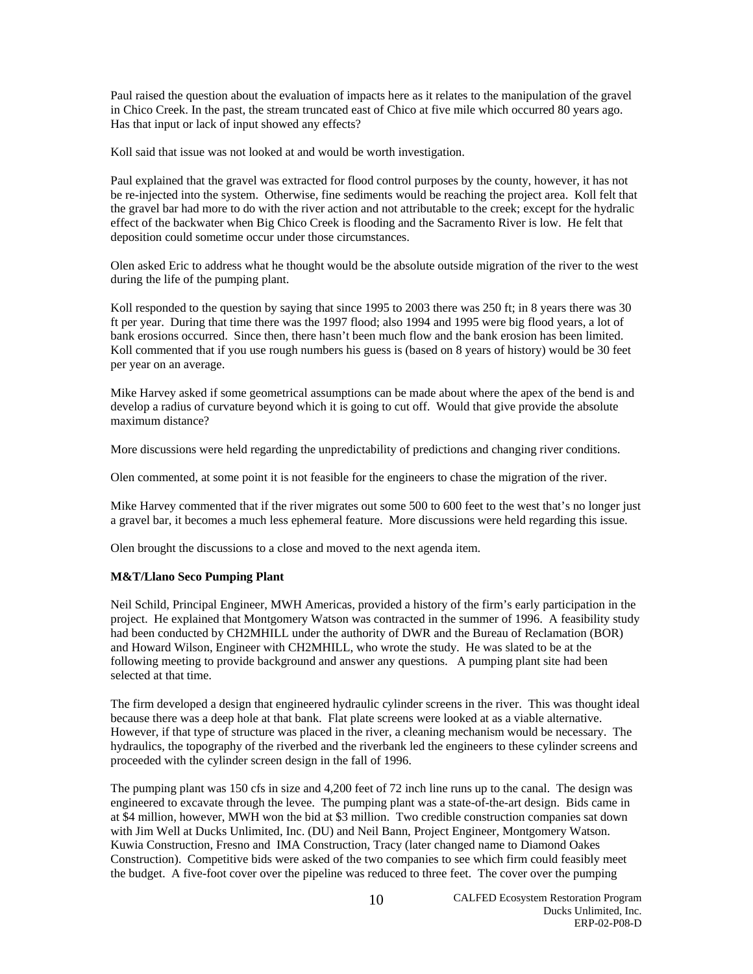Paul raised the question about the evaluation of impacts here as it relates to the manipulation of the gravel in Chico Creek. In the past, the stream truncated east of Chico at five mile which occurred 80 years ago. Has that input or lack of input showed any effects?

Koll said that issue was not looked at and would be worth investigation.

Paul explained that the gravel was extracted for flood control purposes by the county, however, it has not be re-injected into the system. Otherwise, fine sediments would be reaching the project area. Koll felt that the gravel bar had more to do with the river action and not attributable to the creek; except for the hydralic effect of the backwater when Big Chico Creek is flooding and the Sacramento River is low. He felt that deposition could sometime occur under those circumstances.

Olen asked Eric to address what he thought would be the absolute outside migration of the river to the west during the life of the pumping plant.

Koll responded to the question by saying that since 1995 to 2003 there was 250 ft; in 8 years there was 30 ft per year. During that time there was the 1997 flood; also 1994 and 1995 were big flood years, a lot of bank erosions occurred. Since then, there hasn't been much flow and the bank erosion has been limited. Koll commented that if you use rough numbers his guess is (based on 8 years of history) would be 30 feet per year on an average.

Mike Harvey asked if some geometrical assumptions can be made about where the apex of the bend is and develop a radius of curvature beyond which it is going to cut off. Would that give provide the absolute maximum distance?

More discussions were held regarding the unpredictability of predictions and changing river conditions.

Olen commented, at some point it is not feasible for the engineers to chase the migration of the river.

Mike Harvey commented that if the river migrates out some 500 to 600 feet to the west that's no longer just a gravel bar, it becomes a much less ephemeral feature. More discussions were held regarding this issue.

Olen brought the discussions to a close and moved to the next agenda item.

# **M&T/Llano Seco Pumping Plant**

Neil Schild, Principal Engineer, MWH Americas, provided a history of the firm's early participation in the project. He explained that Montgomery Watson was contracted in the summer of 1996. A feasibility study had been conducted by CH2MHILL under the authority of DWR and the Bureau of Reclamation (BOR) and Howard Wilson, Engineer with CH2MHILL, who wrote the study. He was slated to be at the following meeting to provide background and answer any questions. A pumping plant site had been selected at that time.

The firm developed a design that engineered hydraulic cylinder screens in the river. This was thought ideal because there was a deep hole at that bank. Flat plate screens were looked at as a viable alternative. However, if that type of structure was placed in the river, a cleaning mechanism would be necessary. The hydraulics, the topography of the riverbed and the riverbank led the engineers to these cylinder screens and proceeded with the cylinder screen design in the fall of 1996.

The pumping plant was 150 cfs in size and 4,200 feet of 72 inch line runs up to the canal. The design was engineered to excavate through the levee. The pumping plant was a state-of-the-art design. Bids came in at \$4 million, however, MWH won the bid at \$3 million. Two credible construction companies sat down with Jim Well at Ducks Unlimited, Inc. (DU) and Neil Bann, Project Engineer, Montgomery Watson. Kuwia Construction, Fresno and IMA Construction, Tracy (later changed name to Diamond Oakes Construction). Competitive bids were asked of the two companies to see which firm could feasibly meet the budget. A five-foot cover over the pipeline was reduced to three feet. The cover over the pumping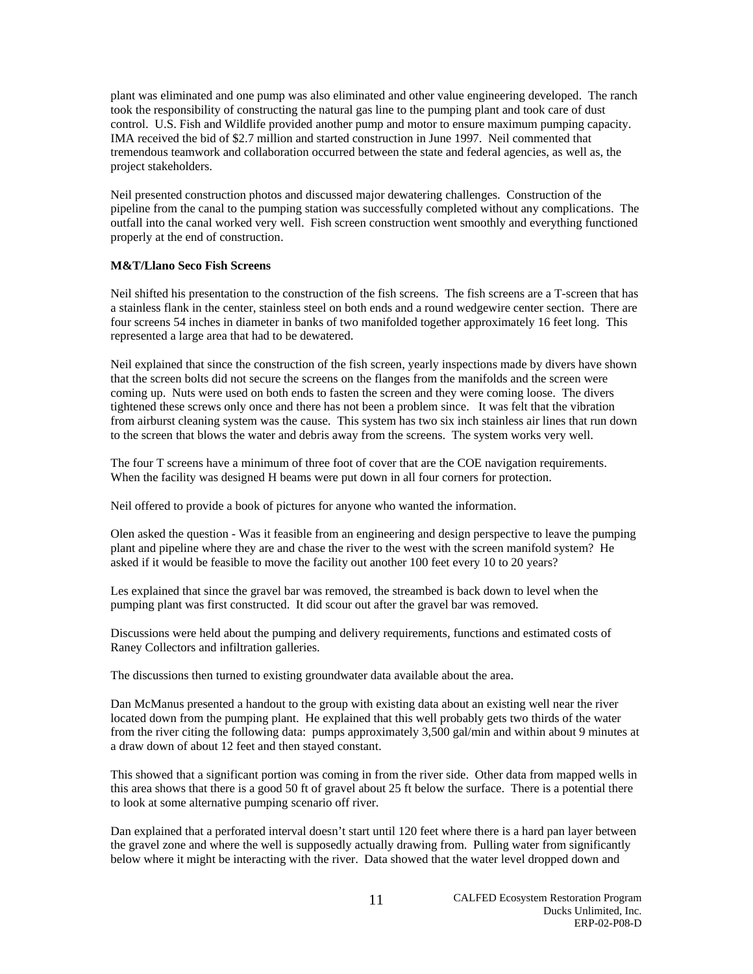plant was eliminated and one pump was also eliminated and other value engineering developed. The ranch took the responsibility of constructing the natural gas line to the pumping plant and took care of dust control. U.S. Fish and Wildlife provided another pump and motor to ensure maximum pumping capacity. IMA received the bid of \$2.7 million and started construction in June 1997. Neil commented that tremendous teamwork and collaboration occurred between the state and federal agencies, as well as, the project stakeholders.

Neil presented construction photos and discussed major dewatering challenges. Construction of the pipeline from the canal to the pumping station was successfully completed without any complications. The outfall into the canal worked very well. Fish screen construction went smoothly and everything functioned properly at the end of construction.

# **M&T/Llano Seco Fish Screens**

Neil shifted his presentation to the construction of the fish screens. The fish screens are a T-screen that has a stainless flank in the center, stainless steel on both ends and a round wedgewire center section. There are four screens 54 inches in diameter in banks of two manifolded together approximately 16 feet long. This represented a large area that had to be dewatered.

Neil explained that since the construction of the fish screen, yearly inspections made by divers have shown that the screen bolts did not secure the screens on the flanges from the manifolds and the screen were coming up. Nuts were used on both ends to fasten the screen and they were coming loose. The divers tightened these screws only once and there has not been a problem since. It was felt that the vibration from airburst cleaning system was the cause. This system has two six inch stainless air lines that run down to the screen that blows the water and debris away from the screens. The system works very well.

The four T screens have a minimum of three foot of cover that are the COE navigation requirements. When the facility was designed H beams were put down in all four corners for protection.

Neil offered to provide a book of pictures for anyone who wanted the information.

Olen asked the question - Was it feasible from an engineering and design perspective to leave the pumping plant and pipeline where they are and chase the river to the west with the screen manifold system? He asked if it would be feasible to move the facility out another 100 feet every 10 to 20 years?

Les explained that since the gravel bar was removed, the streambed is back down to level when the pumping plant was first constructed. It did scour out after the gravel bar was removed.

Discussions were held about the pumping and delivery requirements, functions and estimated costs of Raney Collectors and infiltration galleries.

The discussions then turned to existing groundwater data available about the area.

Dan McManus presented a handout to the group with existing data about an existing well near the river located down from the pumping plant. He explained that this well probably gets two thirds of the water from the river citing the following data: pumps approximately 3,500 gal/min and within about 9 minutes at a draw down of about 12 feet and then stayed constant.

This showed that a significant portion was coming in from the river side. Other data from mapped wells in this area shows that there is a good 50 ft of gravel about 25 ft below the surface. There is a potential there to look at some alternative pumping scenario off river.

Dan explained that a perforated interval doesn't start until 120 feet where there is a hard pan layer between the gravel zone and where the well is supposedly actually drawing from. Pulling water from significantly below where it might be interacting with the river. Data showed that the water level dropped down and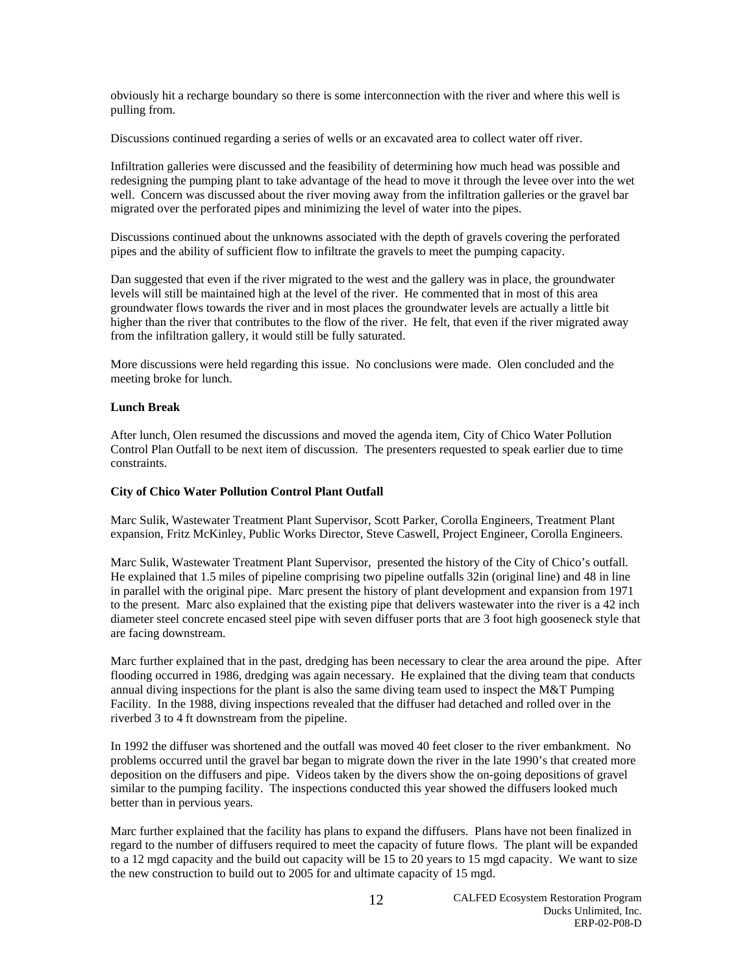obviously hit a recharge boundary so there is some interconnection with the river and where this well is pulling from.

Discussions continued regarding a series of wells or an excavated area to collect water off river.

Infiltration galleries were discussed and the feasibility of determining how much head was possible and redesigning the pumping plant to take advantage of the head to move it through the levee over into the wet well. Concern was discussed about the river moving away from the infiltration galleries or the gravel bar migrated over the perforated pipes and minimizing the level of water into the pipes.

Discussions continued about the unknowns associated with the depth of gravels covering the perforated pipes and the ability of sufficient flow to infiltrate the gravels to meet the pumping capacity.

Dan suggested that even if the river migrated to the west and the gallery was in place, the groundwater levels will still be maintained high at the level of the river. He commented that in most of this area groundwater flows towards the river and in most places the groundwater levels are actually a little bit higher than the river that contributes to the flow of the river. He felt, that even if the river migrated away from the infiltration gallery, it would still be fully saturated.

More discussions were held regarding this issue. No conclusions were made. Olen concluded and the meeting broke for lunch.

## **Lunch Break**

After lunch, Olen resumed the discussions and moved the agenda item, City of Chico Water Pollution Control Plan Outfall to be next item of discussion. The presenters requested to speak earlier due to time constraints.

## **City of Chico Water Pollution Control Plant Outfall**

Marc Sulik, Wastewater Treatment Plant Supervisor, Scott Parker, Corolla Engineers, Treatment Plant expansion, Fritz McKinley, Public Works Director, Steve Caswell, Project Engineer, Corolla Engineers.

Marc Sulik, Wastewater Treatment Plant Supervisor, presented the history of the City of Chico's outfall. He explained that 1.5 miles of pipeline comprising two pipeline outfalls 32in (original line) and 48 in line in parallel with the original pipe. Marc present the history of plant development and expansion from 1971 to the present. Marc also explained that the existing pipe that delivers wastewater into the river is a 42 inch diameter steel concrete encased steel pipe with seven diffuser ports that are 3 foot high gooseneck style that are facing downstream.

Marc further explained that in the past, dredging has been necessary to clear the area around the pipe. After flooding occurred in 1986, dredging was again necessary. He explained that the diving team that conducts annual diving inspections for the plant is also the same diving team used to inspect the M&T Pumping Facility. In the 1988, diving inspections revealed that the diffuser had detached and rolled over in the riverbed 3 to 4 ft downstream from the pipeline.

In 1992 the diffuser was shortened and the outfall was moved 40 feet closer to the river embankment. No problems occurred until the gravel bar began to migrate down the river in the late 1990's that created more deposition on the diffusers and pipe. Videos taken by the divers show the on-going depositions of gravel similar to the pumping facility. The inspections conducted this year showed the diffusers looked much better than in pervious years.

Marc further explained that the facility has plans to expand the diffusers. Plans have not been finalized in regard to the number of diffusers required to meet the capacity of future flows. The plant will be expanded to a 12 mgd capacity and the build out capacity will be 15 to 20 years to 15 mgd capacity. We want to size the new construction to build out to 2005 for and ultimate capacity of 15 mgd.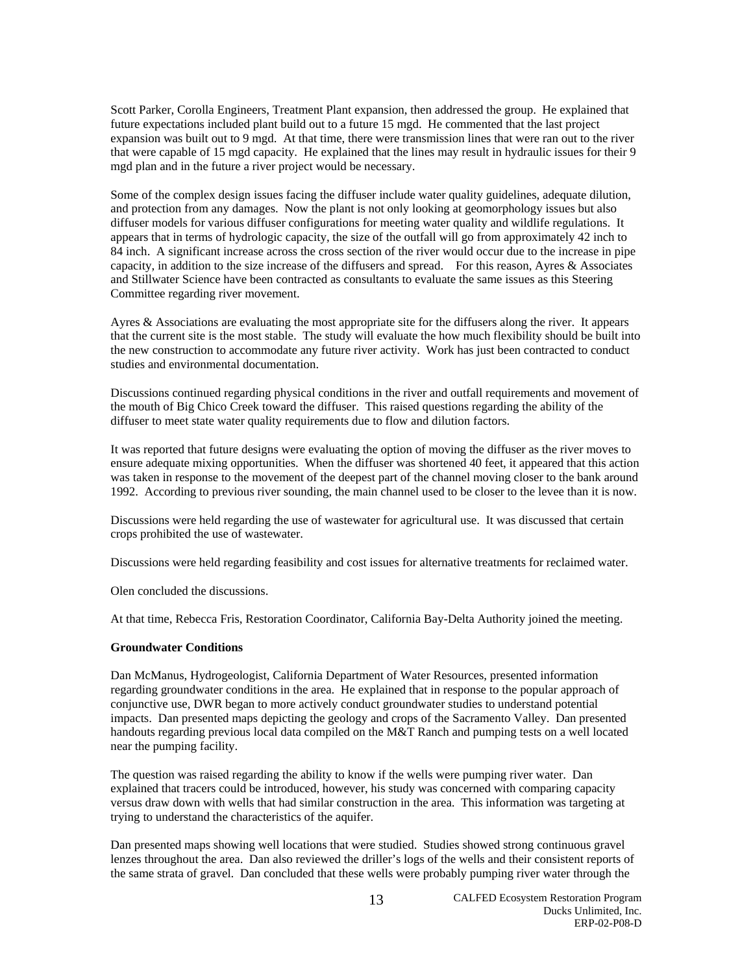Scott Parker, Corolla Engineers, Treatment Plant expansion, then addressed the group. He explained that future expectations included plant build out to a future 15 mgd. He commented that the last project expansion was built out to 9 mgd. At that time, there were transmission lines that were ran out to the river that were capable of 15 mgd capacity. He explained that the lines may result in hydraulic issues for their 9 mgd plan and in the future a river project would be necessary.

Some of the complex design issues facing the diffuser include water quality guidelines, adequate dilution, and protection from any damages. Now the plant is not only looking at geomorphology issues but also diffuser models for various diffuser configurations for meeting water quality and wildlife regulations. It appears that in terms of hydrologic capacity, the size of the outfall will go from approximately 42 inch to 84 inch. A significant increase across the cross section of the river would occur due to the increase in pipe capacity, in addition to the size increase of the diffusers and spread. For this reason, Ayres & Associates and Stillwater Science have been contracted as consultants to evaluate the same issues as this Steering Committee regarding river movement.

Ayres & Associations are evaluating the most appropriate site for the diffusers along the river. It appears that the current site is the most stable. The study will evaluate the how much flexibility should be built into the new construction to accommodate any future river activity. Work has just been contracted to conduct studies and environmental documentation.

Discussions continued regarding physical conditions in the river and outfall requirements and movement of the mouth of Big Chico Creek toward the diffuser. This raised questions regarding the ability of the diffuser to meet state water quality requirements due to flow and dilution factors.

It was reported that future designs were evaluating the option of moving the diffuser as the river moves to ensure adequate mixing opportunities. When the diffuser was shortened 40 feet, it appeared that this action was taken in response to the movement of the deepest part of the channel moving closer to the bank around 1992. According to previous river sounding, the main channel used to be closer to the levee than it is now.

Discussions were held regarding the use of wastewater for agricultural use. It was discussed that certain crops prohibited the use of wastewater.

Discussions were held regarding feasibility and cost issues for alternative treatments for reclaimed water.

Olen concluded the discussions.

At that time, Rebecca Fris, Restoration Coordinator, California Bay-Delta Authority joined the meeting.

## **Groundwater Conditions**

Dan McManus, Hydrogeologist, California Department of Water Resources, presented information regarding groundwater conditions in the area. He explained that in response to the popular approach of conjunctive use, DWR began to more actively conduct groundwater studies to understand potential impacts. Dan presented maps depicting the geology and crops of the Sacramento Valley. Dan presented handouts regarding previous local data compiled on the M&T Ranch and pumping tests on a well located near the pumping facility.

The question was raised regarding the ability to know if the wells were pumping river water. Dan explained that tracers could be introduced, however, his study was concerned with comparing capacity versus draw down with wells that had similar construction in the area. This information was targeting at trying to understand the characteristics of the aquifer.

Dan presented maps showing well locations that were studied. Studies showed strong continuous gravel lenzes throughout the area. Dan also reviewed the driller's logs of the wells and their consistent reports of the same strata of gravel. Dan concluded that these wells were probably pumping river water through the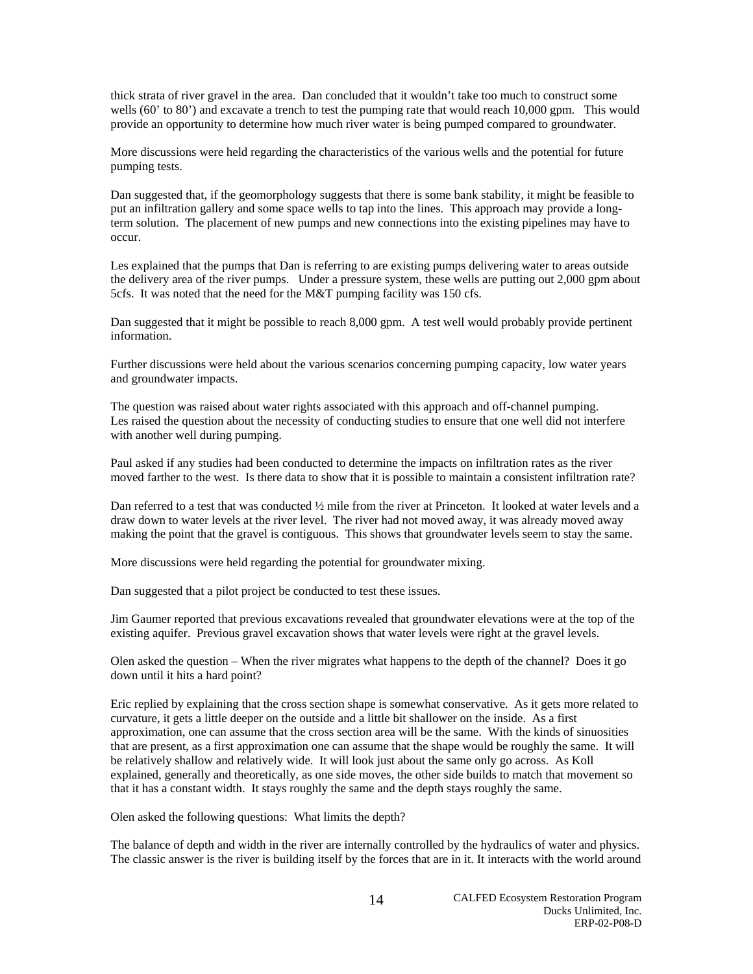thick strata of river gravel in the area. Dan concluded that it wouldn't take too much to construct some wells (60' to 80') and excavate a trench to test the pumping rate that would reach 10,000 gpm. This would provide an opportunity to determine how much river water is being pumped compared to groundwater.

More discussions were held regarding the characteristics of the various wells and the potential for future pumping tests.

Dan suggested that, if the geomorphology suggests that there is some bank stability, it might be feasible to put an infiltration gallery and some space wells to tap into the lines. This approach may provide a longterm solution. The placement of new pumps and new connections into the existing pipelines may have to occur.

Les explained that the pumps that Dan is referring to are existing pumps delivering water to areas outside the delivery area of the river pumps. Under a pressure system, these wells are putting out 2,000 gpm about 5cfs. It was noted that the need for the M&T pumping facility was 150 cfs.

Dan suggested that it might be possible to reach 8,000 gpm. A test well would probably provide pertinent information.

Further discussions were held about the various scenarios concerning pumping capacity, low water years and groundwater impacts.

The question was raised about water rights associated with this approach and off-channel pumping. Les raised the question about the necessity of conducting studies to ensure that one well did not interfere with another well during pumping.

Paul asked if any studies had been conducted to determine the impacts on infiltration rates as the river moved farther to the west. Is there data to show that it is possible to maintain a consistent infiltration rate?

Dan referred to a test that was conducted ½ mile from the river at Princeton. It looked at water levels and a draw down to water levels at the river level. The river had not moved away, it was already moved away making the point that the gravel is contiguous. This shows that groundwater levels seem to stay the same.

More discussions were held regarding the potential for groundwater mixing.

Dan suggested that a pilot project be conducted to test these issues.

Jim Gaumer reported that previous excavations revealed that groundwater elevations were at the top of the existing aquifer. Previous gravel excavation shows that water levels were right at the gravel levels.

Olen asked the question – When the river migrates what happens to the depth of the channel? Does it go down until it hits a hard point?

Eric replied by explaining that the cross section shape is somewhat conservative. As it gets more related to curvature, it gets a little deeper on the outside and a little bit shallower on the inside. As a first approximation, one can assume that the cross section area will be the same. With the kinds of sinuosities that are present, as a first approximation one can assume that the shape would be roughly the same. It will be relatively shallow and relatively wide. It will look just about the same only go across. As Koll explained, generally and theoretically, as one side moves, the other side builds to match that movement so that it has a constant width. It stays roughly the same and the depth stays roughly the same.

Olen asked the following questions: What limits the depth?

The balance of depth and width in the river are internally controlled by the hydraulics of water and physics. The classic answer is the river is building itself by the forces that are in it. It interacts with the world around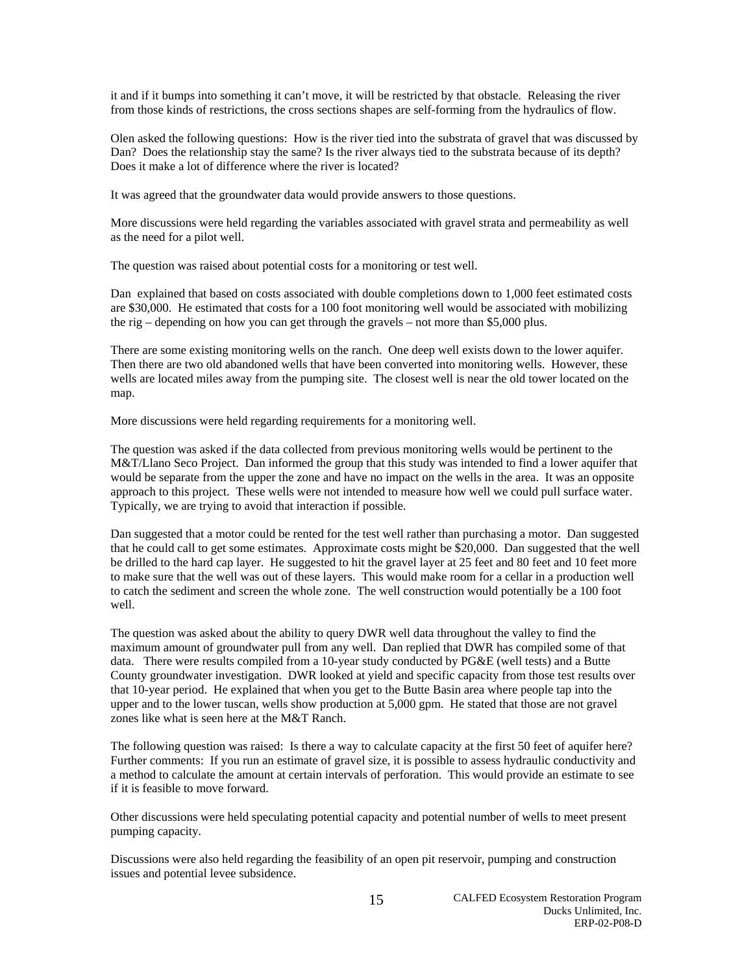it and if it bumps into something it can't move, it will be restricted by that obstacle. Releasing the river from those kinds of restrictions, the cross sections shapes are self-forming from the hydraulics of flow.

Olen asked the following questions: How is the river tied into the substrata of gravel that was discussed by Dan? Does the relationship stay the same? Is the river always tied to the substrata because of its depth? Does it make a lot of difference where the river is located?

It was agreed that the groundwater data would provide answers to those questions.

More discussions were held regarding the variables associated with gravel strata and permeability as well as the need for a pilot well.

The question was raised about potential costs for a monitoring or test well.

Dan explained that based on costs associated with double completions down to 1,000 feet estimated costs are \$30,000. He estimated that costs for a 100 foot monitoring well would be associated with mobilizing the rig – depending on how you can get through the gravels – not more than \$5,000 plus.

There are some existing monitoring wells on the ranch. One deep well exists down to the lower aquifer. Then there are two old abandoned wells that have been converted into monitoring wells. However, these wells are located miles away from the pumping site. The closest well is near the old tower located on the map.

More discussions were held regarding requirements for a monitoring well.

The question was asked if the data collected from previous monitoring wells would be pertinent to the M&T/Llano Seco Project. Dan informed the group that this study was intended to find a lower aquifer that would be separate from the upper the zone and have no impact on the wells in the area. It was an opposite approach to this project. These wells were not intended to measure how well we could pull surface water. Typically, we are trying to avoid that interaction if possible.

Dan suggested that a motor could be rented for the test well rather than purchasing a motor. Dan suggested that he could call to get some estimates. Approximate costs might be \$20,000. Dan suggested that the well be drilled to the hard cap layer. He suggested to hit the gravel layer at 25 feet and 80 feet and 10 feet more to make sure that the well was out of these layers. This would make room for a cellar in a production well to catch the sediment and screen the whole zone. The well construction would potentially be a 100 foot well.

The question was asked about the ability to query DWR well data throughout the valley to find the maximum amount of groundwater pull from any well. Dan replied that DWR has compiled some of that data. There were results compiled from a 10-year study conducted by PG&E (well tests) and a Butte County groundwater investigation. DWR looked at yield and specific capacity from those test results over that 10-year period. He explained that when you get to the Butte Basin area where people tap into the upper and to the lower tuscan, wells show production at 5,000 gpm. He stated that those are not gravel zones like what is seen here at the M&T Ranch.

The following question was raised: Is there a way to calculate capacity at the first 50 feet of aquifer here? Further comments: If you run an estimate of gravel size, it is possible to assess hydraulic conductivity and a method to calculate the amount at certain intervals of perforation. This would provide an estimate to see if it is feasible to move forward.

Other discussions were held speculating potential capacity and potential number of wells to meet present pumping capacity.

Discussions were also held regarding the feasibility of an open pit reservoir, pumping and construction issues and potential levee subsidence.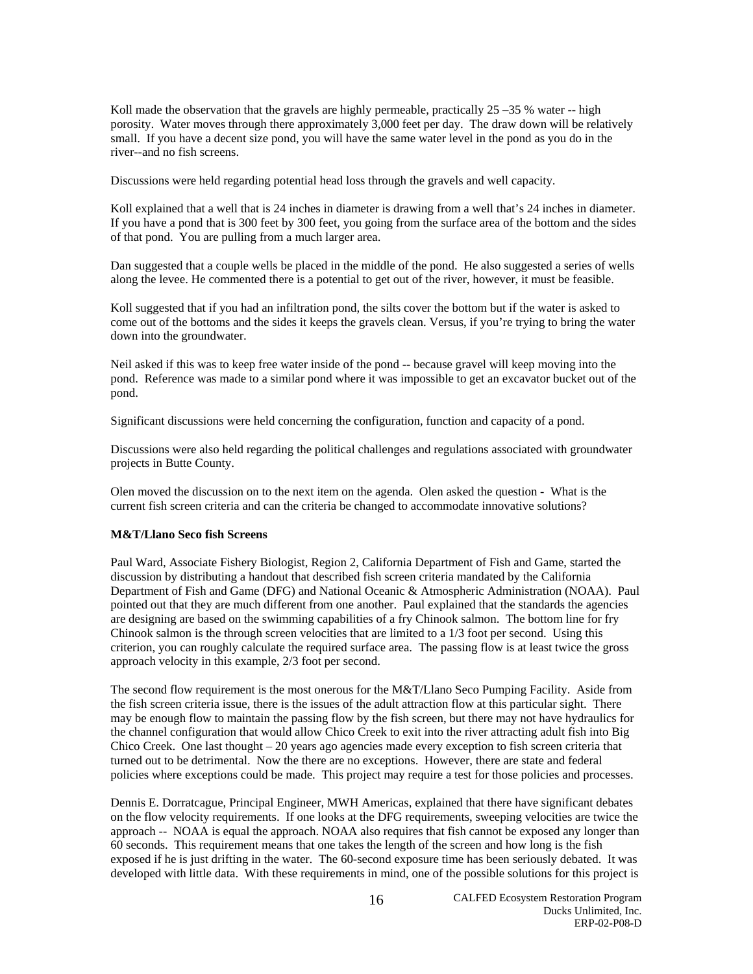Koll made the observation that the gravels are highly permeable, practically  $25 - 35$  % water -- high porosity. Water moves through there approximately 3,000 feet per day. The draw down will be relatively small. If you have a decent size pond, you will have the same water level in the pond as you do in the river--and no fish screens.

Discussions were held regarding potential head loss through the gravels and well capacity.

Koll explained that a well that is 24 inches in diameter is drawing from a well that's 24 inches in diameter. If you have a pond that is 300 feet by 300 feet, you going from the surface area of the bottom and the sides of that pond. You are pulling from a much larger area.

Dan suggested that a couple wells be placed in the middle of the pond. He also suggested a series of wells along the levee. He commented there is a potential to get out of the river, however, it must be feasible.

Koll suggested that if you had an infiltration pond, the silts cover the bottom but if the water is asked to come out of the bottoms and the sides it keeps the gravels clean. Versus, if you're trying to bring the water down into the groundwater.

Neil asked if this was to keep free water inside of the pond -- because gravel will keep moving into the pond. Reference was made to a similar pond where it was impossible to get an excavator bucket out of the pond.

Significant discussions were held concerning the configuration, function and capacity of a pond.

Discussions were also held regarding the political challenges and regulations associated with groundwater projects in Butte County.

Olen moved the discussion on to the next item on the agenda. Olen asked the question - What is the current fish screen criteria and can the criteria be changed to accommodate innovative solutions?

# **M&T/Llano Seco fish Screens**

Paul Ward, Associate Fishery Biologist, Region 2, California Department of Fish and Game, started the discussion by distributing a handout that described fish screen criteria mandated by the California Department of Fish and Game (DFG) and National Oceanic & Atmospheric Administration (NOAA). Paul pointed out that they are much different from one another. Paul explained that the standards the agencies are designing are based on the swimming capabilities of a fry Chinook salmon. The bottom line for fry Chinook salmon is the through screen velocities that are limited to a 1/3 foot per second. Using this criterion, you can roughly calculate the required surface area. The passing flow is at least twice the gross approach velocity in this example, 2/3 foot per second.

The second flow requirement is the most onerous for the M&T/Llano Seco Pumping Facility. Aside from the fish screen criteria issue, there is the issues of the adult attraction flow at this particular sight. There may be enough flow to maintain the passing flow by the fish screen, but there may not have hydraulics for the channel configuration that would allow Chico Creek to exit into the river attracting adult fish into Big Chico Creek. One last thought – 20 years ago agencies made every exception to fish screen criteria that turned out to be detrimental. Now the there are no exceptions. However, there are state and federal policies where exceptions could be made. This project may require a test for those policies and processes.

Dennis E. Dorratcague, Principal Engineer, MWH Americas, explained that there have significant debates on the flow velocity requirements. If one looks at the DFG requirements, sweeping velocities are twice the approach -- NOAA is equal the approach. NOAA also requires that fish cannot be exposed any longer than 60 seconds. This requirement means that one takes the length of the screen and how long is the fish exposed if he is just drifting in the water. The 60-second exposure time has been seriously debated. It was developed with little data. With these requirements in mind, one of the possible solutions for this project is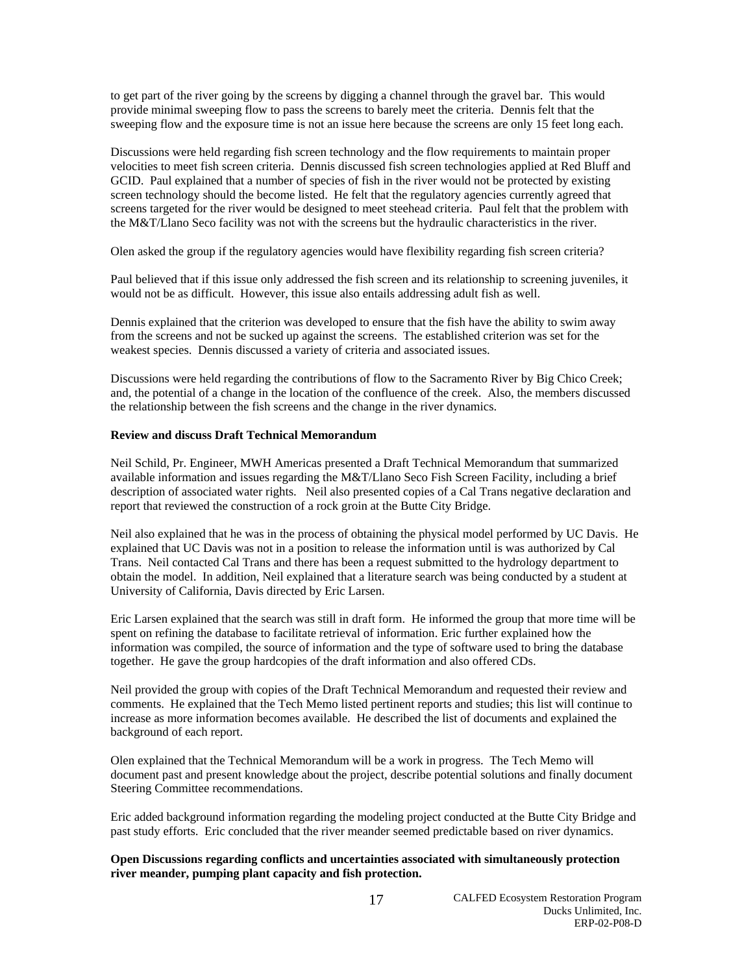to get part of the river going by the screens by digging a channel through the gravel bar. This would provide minimal sweeping flow to pass the screens to barely meet the criteria. Dennis felt that the sweeping flow and the exposure time is not an issue here because the screens are only 15 feet long each.

Discussions were held regarding fish screen technology and the flow requirements to maintain proper velocities to meet fish screen criteria. Dennis discussed fish screen technologies applied at Red Bluff and GCID. Paul explained that a number of species of fish in the river would not be protected by existing screen technology should the become listed. He felt that the regulatory agencies currently agreed that screens targeted for the river would be designed to meet steehead criteria. Paul felt that the problem with the M&T/Llano Seco facility was not with the screens but the hydraulic characteristics in the river.

Olen asked the group if the regulatory agencies would have flexibility regarding fish screen criteria?

Paul believed that if this issue only addressed the fish screen and its relationship to screening juveniles, it would not be as difficult. However, this issue also entails addressing adult fish as well.

Dennis explained that the criterion was developed to ensure that the fish have the ability to swim away from the screens and not be sucked up against the screens. The established criterion was set for the weakest species. Dennis discussed a variety of criteria and associated issues.

Discussions were held regarding the contributions of flow to the Sacramento River by Big Chico Creek; and, the potential of a change in the location of the confluence of the creek. Also, the members discussed the relationship between the fish screens and the change in the river dynamics.

#### **Review and discuss Draft Technical Memorandum**

Neil Schild, Pr. Engineer, MWH Americas presented a Draft Technical Memorandum that summarized available information and issues regarding the M&T/Llano Seco Fish Screen Facility, including a brief description of associated water rights. Neil also presented copies of a Cal Trans negative declaration and report that reviewed the construction of a rock groin at the Butte City Bridge.

Neil also explained that he was in the process of obtaining the physical model performed by UC Davis. He explained that UC Davis was not in a position to release the information until is was authorized by Cal Trans. Neil contacted Cal Trans and there has been a request submitted to the hydrology department to obtain the model. In addition, Neil explained that a literature search was being conducted by a student at University of California, Davis directed by Eric Larsen.

Eric Larsen explained that the search was still in draft form. He informed the group that more time will be spent on refining the database to facilitate retrieval of information. Eric further explained how the information was compiled, the source of information and the type of software used to bring the database together. He gave the group hardcopies of the draft information and also offered CDs.

Neil provided the group with copies of the Draft Technical Memorandum and requested their review and comments. He explained that the Tech Memo listed pertinent reports and studies; this list will continue to increase as more information becomes available. He described the list of documents and explained the background of each report.

Olen explained that the Technical Memorandum will be a work in progress. The Tech Memo will document past and present knowledge about the project, describe potential solutions and finally document Steering Committee recommendations.

Eric added background information regarding the modeling project conducted at the Butte City Bridge and past study efforts. Eric concluded that the river meander seemed predictable based on river dynamics.

# **Open Discussions regarding conflicts and uncertainties associated with simultaneously protection river meander, pumping plant capacity and fish protection.**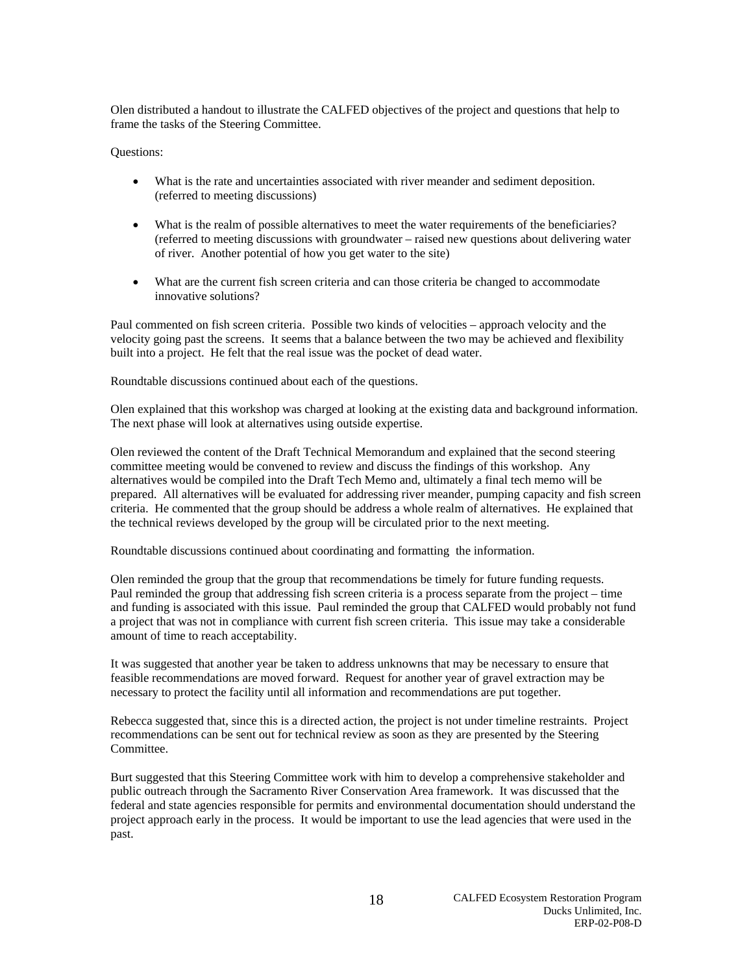Olen distributed a handout to illustrate the CALFED objectives of the project and questions that help to frame the tasks of the Steering Committee.

## Questions:

- What is the rate and uncertainties associated with river meander and sediment deposition. (referred to meeting discussions)
- What is the realm of possible alternatives to meet the water requirements of the beneficiaries? (referred to meeting discussions with groundwater – raised new questions about delivering water of river. Another potential of how you get water to the site)
- What are the current fish screen criteria and can those criteria be changed to accommodate innovative solutions?

Paul commented on fish screen criteria. Possible two kinds of velocities – approach velocity and the velocity going past the screens. It seems that a balance between the two may be achieved and flexibility built into a project. He felt that the real issue was the pocket of dead water.

Roundtable discussions continued about each of the questions.

Olen explained that this workshop was charged at looking at the existing data and background information. The next phase will look at alternatives using outside expertise.

Olen reviewed the content of the Draft Technical Memorandum and explained that the second steering committee meeting would be convened to review and discuss the findings of this workshop. Any alternatives would be compiled into the Draft Tech Memo and, ultimately a final tech memo will be prepared. All alternatives will be evaluated for addressing river meander, pumping capacity and fish screen criteria. He commented that the group should be address a whole realm of alternatives. He explained that the technical reviews developed by the group will be circulated prior to the next meeting.

Roundtable discussions continued about coordinating and formatting the information.

Olen reminded the group that the group that recommendations be timely for future funding requests. Paul reminded the group that addressing fish screen criteria is a process separate from the project – time and funding is associated with this issue. Paul reminded the group that CALFED would probably not fund a project that was not in compliance with current fish screen criteria. This issue may take a considerable amount of time to reach acceptability.

It was suggested that another year be taken to address unknowns that may be necessary to ensure that feasible recommendations are moved forward. Request for another year of gravel extraction may be necessary to protect the facility until all information and recommendations are put together.

Rebecca suggested that, since this is a directed action, the project is not under timeline restraints. Project recommendations can be sent out for technical review as soon as they are presented by the Steering Committee.

Burt suggested that this Steering Committee work with him to develop a comprehensive stakeholder and public outreach through the Sacramento River Conservation Area framework. It was discussed that the federal and state agencies responsible for permits and environmental documentation should understand the project approach early in the process. It would be important to use the lead agencies that were used in the past.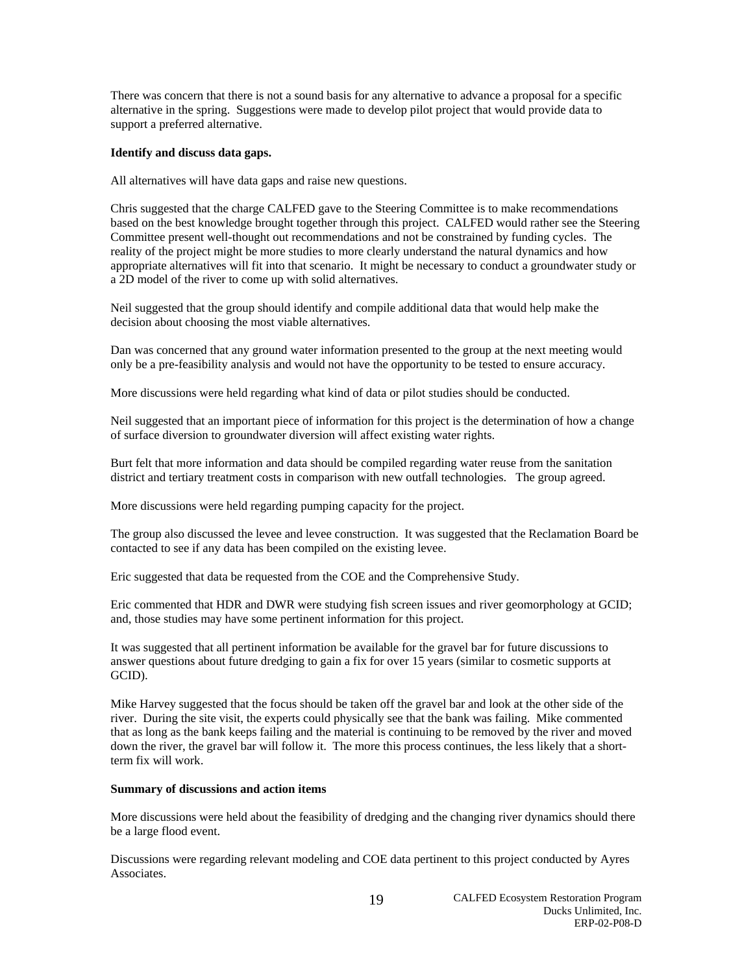There was concern that there is not a sound basis for any alternative to advance a proposal for a specific alternative in the spring. Suggestions were made to develop pilot project that would provide data to support a preferred alternative.

# **Identify and discuss data gaps.**

All alternatives will have data gaps and raise new questions.

Chris suggested that the charge CALFED gave to the Steering Committee is to make recommendations based on the best knowledge brought together through this project. CALFED would rather see the Steering Committee present well-thought out recommendations and not be constrained by funding cycles. The reality of the project might be more studies to more clearly understand the natural dynamics and how appropriate alternatives will fit into that scenario. It might be necessary to conduct a groundwater study or a 2D model of the river to come up with solid alternatives.

Neil suggested that the group should identify and compile additional data that would help make the decision about choosing the most viable alternatives.

Dan was concerned that any ground water information presented to the group at the next meeting would only be a pre-feasibility analysis and would not have the opportunity to be tested to ensure accuracy.

More discussions were held regarding what kind of data or pilot studies should be conducted.

Neil suggested that an important piece of information for this project is the determination of how a change of surface diversion to groundwater diversion will affect existing water rights.

Burt felt that more information and data should be compiled regarding water reuse from the sanitation district and tertiary treatment costs in comparison with new outfall technologies. The group agreed.

More discussions were held regarding pumping capacity for the project.

The group also discussed the levee and levee construction. It was suggested that the Reclamation Board be contacted to see if any data has been compiled on the existing levee.

Eric suggested that data be requested from the COE and the Comprehensive Study.

Eric commented that HDR and DWR were studying fish screen issues and river geomorphology at GCID; and, those studies may have some pertinent information for this project.

It was suggested that all pertinent information be available for the gravel bar for future discussions to answer questions about future dredging to gain a fix for over 15 years (similar to cosmetic supports at GCID).

Mike Harvey suggested that the focus should be taken off the gravel bar and look at the other side of the river. During the site visit, the experts could physically see that the bank was failing. Mike commented that as long as the bank keeps failing and the material is continuing to be removed by the river and moved down the river, the gravel bar will follow it. The more this process continues, the less likely that a shortterm fix will work.

# **Summary of discussions and action items**

More discussions were held about the feasibility of dredging and the changing river dynamics should there be a large flood event.

Discussions were regarding relevant modeling and COE data pertinent to this project conducted by Ayres Associates.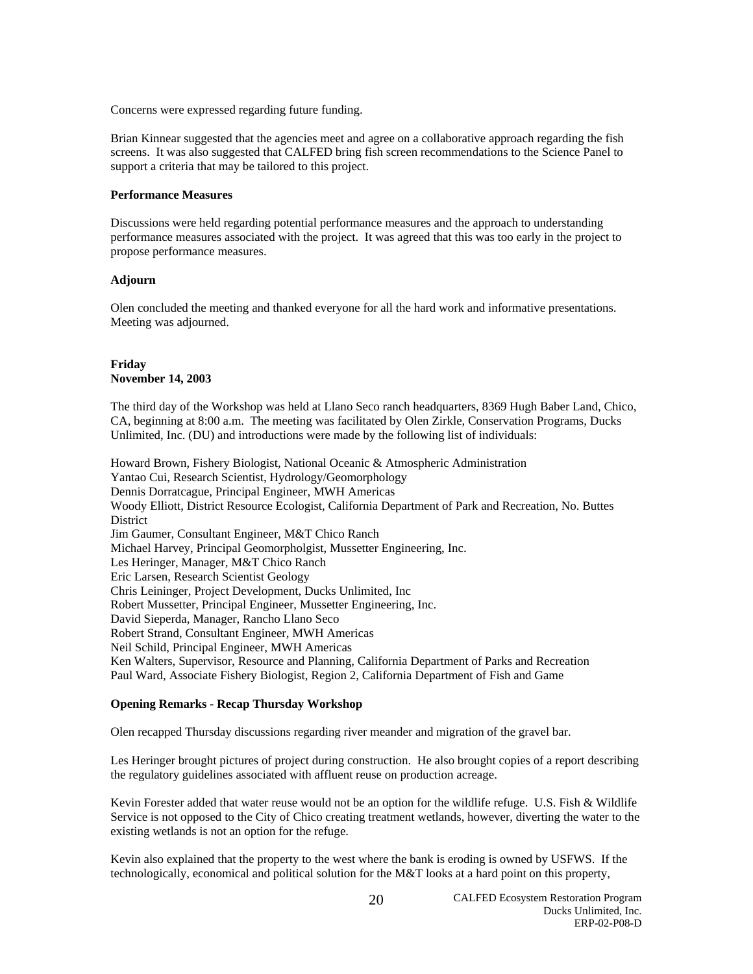Concerns were expressed regarding future funding.

Brian Kinnear suggested that the agencies meet and agree on a collaborative approach regarding the fish screens. It was also suggested that CALFED bring fish screen recommendations to the Science Panel to support a criteria that may be tailored to this project.

# **Performance Measures**

Discussions were held regarding potential performance measures and the approach to understanding performance measures associated with the project. It was agreed that this was too early in the project to propose performance measures.

#### **Adjourn**

Olen concluded the meeting and thanked everyone for all the hard work and informative presentations. Meeting was adjourned.

# **Friday November 14, 2003**

The third day of the Workshop was held at Llano Seco ranch headquarters, 8369 Hugh Baber Land, Chico, CA, beginning at 8:00 a.m. The meeting was facilitated by Olen Zirkle, Conservation Programs, Ducks Unlimited, Inc. (DU) and introductions were made by the following list of individuals:

Howard Brown, Fishery Biologist, National Oceanic & Atmospheric Administration Yantao Cui, Research Scientist, Hydrology/Geomorphology Dennis Dorratcague, Principal Engineer, MWH Americas Woody Elliott, District Resource Ecologist, California Department of Park and Recreation, No. Buttes District Jim Gaumer, Consultant Engineer, M&T Chico Ranch Michael Harvey, Principal Geomorpholgist, Mussetter Engineering, Inc. Les Heringer, Manager, M&T Chico Ranch Eric Larsen, Research Scientist Geology Chris Leininger, Project Development, Ducks Unlimited, Inc Robert Mussetter, Principal Engineer, Mussetter Engineering, Inc. David Sieperda, Manager, Rancho Llano Seco Robert Strand, Consultant Engineer, MWH Americas Neil Schild, Principal Engineer, MWH Americas Ken Walters, Supervisor, Resource and Planning, California Department of Parks and Recreation Paul Ward, Associate Fishery Biologist, Region 2, California Department of Fish and Game

## **Opening Remarks - Recap Thursday Workshop**

Olen recapped Thursday discussions regarding river meander and migration of the gravel bar.

Les Heringer brought pictures of project during construction. He also brought copies of a report describing the regulatory guidelines associated with affluent reuse on production acreage.

Kevin Forester added that water reuse would not be an option for the wildlife refuge. U.S. Fish & Wildlife Service is not opposed to the City of Chico creating treatment wetlands, however, diverting the water to the existing wetlands is not an option for the refuge.

Kevin also explained that the property to the west where the bank is eroding is owned by USFWS. If the technologically, economical and political solution for the M&T looks at a hard point on this property,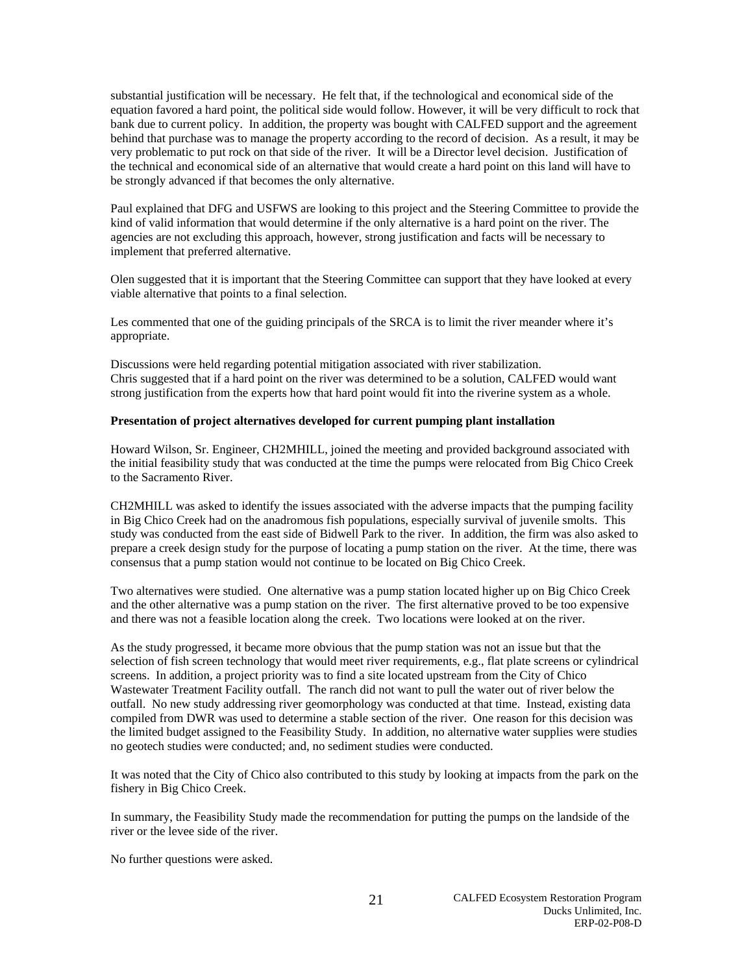substantial justification will be necessary. He felt that, if the technological and economical side of the equation favored a hard point, the political side would follow. However, it will be very difficult to rock that bank due to current policy. In addition, the property was bought with CALFED support and the agreement behind that purchase was to manage the property according to the record of decision. As a result, it may be very problematic to put rock on that side of the river. It will be a Director level decision. Justification of the technical and economical side of an alternative that would create a hard point on this land will have to be strongly advanced if that becomes the only alternative.

Paul explained that DFG and USFWS are looking to this project and the Steering Committee to provide the kind of valid information that would determine if the only alternative is a hard point on the river. The agencies are not excluding this approach, however, strong justification and facts will be necessary to implement that preferred alternative.

Olen suggested that it is important that the Steering Committee can support that they have looked at every viable alternative that points to a final selection.

Les commented that one of the guiding principals of the SRCA is to limit the river meander where it's appropriate.

Discussions were held regarding potential mitigation associated with river stabilization. Chris suggested that if a hard point on the river was determined to be a solution, CALFED would want strong justification from the experts how that hard point would fit into the riverine system as a whole.

## **Presentation of project alternatives developed for current pumping plant installation**

Howard Wilson, Sr. Engineer, CH2MHILL, joined the meeting and provided background associated with the initial feasibility study that was conducted at the time the pumps were relocated from Big Chico Creek to the Sacramento River.

CH2MHILL was asked to identify the issues associated with the adverse impacts that the pumping facility in Big Chico Creek had on the anadromous fish populations, especially survival of juvenile smolts. This study was conducted from the east side of Bidwell Park to the river. In addition, the firm was also asked to prepare a creek design study for the purpose of locating a pump station on the river. At the time, there was consensus that a pump station would not continue to be located on Big Chico Creek.

Two alternatives were studied. One alternative was a pump station located higher up on Big Chico Creek and the other alternative was a pump station on the river. The first alternative proved to be too expensive and there was not a feasible location along the creek. Two locations were looked at on the river.

As the study progressed, it became more obvious that the pump station was not an issue but that the selection of fish screen technology that would meet river requirements, e.g., flat plate screens or cylindrical screens. In addition, a project priority was to find a site located upstream from the City of Chico Wastewater Treatment Facility outfall. The ranch did not want to pull the water out of river below the outfall. No new study addressing river geomorphology was conducted at that time. Instead, existing data compiled from DWR was used to determine a stable section of the river. One reason for this decision was the limited budget assigned to the Feasibility Study. In addition, no alternative water supplies were studies no geotech studies were conducted; and, no sediment studies were conducted.

It was noted that the City of Chico also contributed to this study by looking at impacts from the park on the fishery in Big Chico Creek.

In summary, the Feasibility Study made the recommendation for putting the pumps on the landside of the river or the levee side of the river.

No further questions were asked.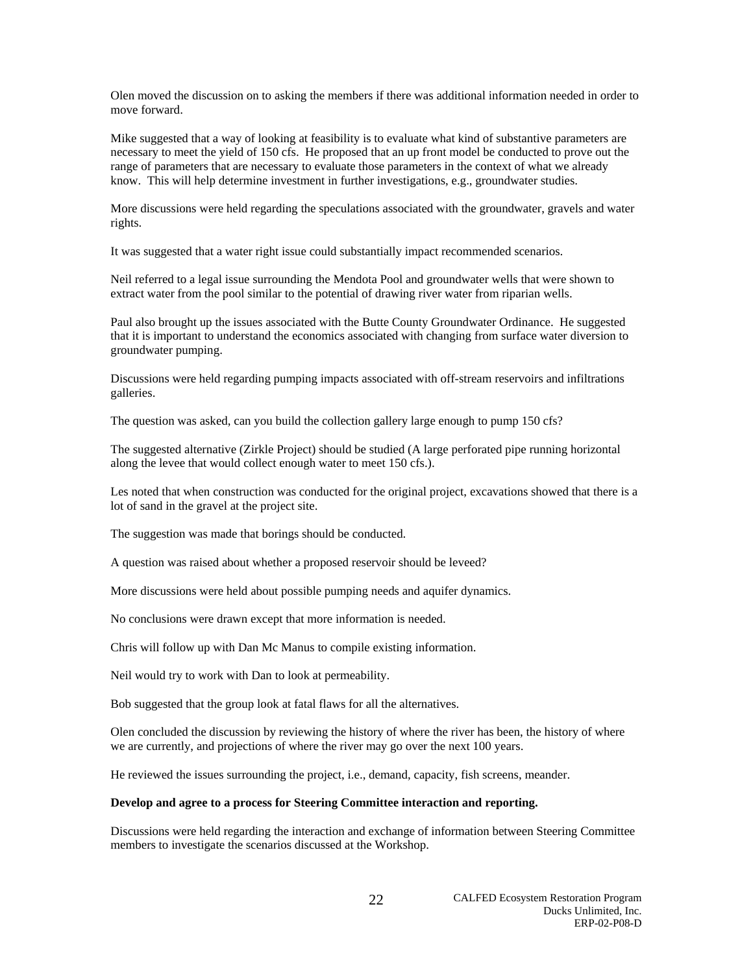Olen moved the discussion on to asking the members if there was additional information needed in order to move forward.

Mike suggested that a way of looking at feasibility is to evaluate what kind of substantive parameters are necessary to meet the yield of 150 cfs. He proposed that an up front model be conducted to prove out the range of parameters that are necessary to evaluate those parameters in the context of what we already know. This will help determine investment in further investigations, e.g., groundwater studies.

More discussions were held regarding the speculations associated with the groundwater, gravels and water rights.

It was suggested that a water right issue could substantially impact recommended scenarios.

Neil referred to a legal issue surrounding the Mendota Pool and groundwater wells that were shown to extract water from the pool similar to the potential of drawing river water from riparian wells.

Paul also brought up the issues associated with the Butte County Groundwater Ordinance. He suggested that it is important to understand the economics associated with changing from surface water diversion to groundwater pumping.

Discussions were held regarding pumping impacts associated with off-stream reservoirs and infiltrations galleries.

The question was asked, can you build the collection gallery large enough to pump 150 cfs?

The suggested alternative (Zirkle Project) should be studied (A large perforated pipe running horizontal along the levee that would collect enough water to meet 150 cfs.).

Les noted that when construction was conducted for the original project, excavations showed that there is a lot of sand in the gravel at the project site.

The suggestion was made that borings should be conducted.

A question was raised about whether a proposed reservoir should be leveed?

More discussions were held about possible pumping needs and aquifer dynamics.

No conclusions were drawn except that more information is needed.

Chris will follow up with Dan Mc Manus to compile existing information.

Neil would try to work with Dan to look at permeability.

Bob suggested that the group look at fatal flaws for all the alternatives.

Olen concluded the discussion by reviewing the history of where the river has been, the history of where we are currently, and projections of where the river may go over the next 100 years.

He reviewed the issues surrounding the project, i.e., demand, capacity, fish screens, meander.

## **Develop and agree to a process for Steering Committee interaction and reporting.**

Discussions were held regarding the interaction and exchange of information between Steering Committee members to investigate the scenarios discussed at the Workshop.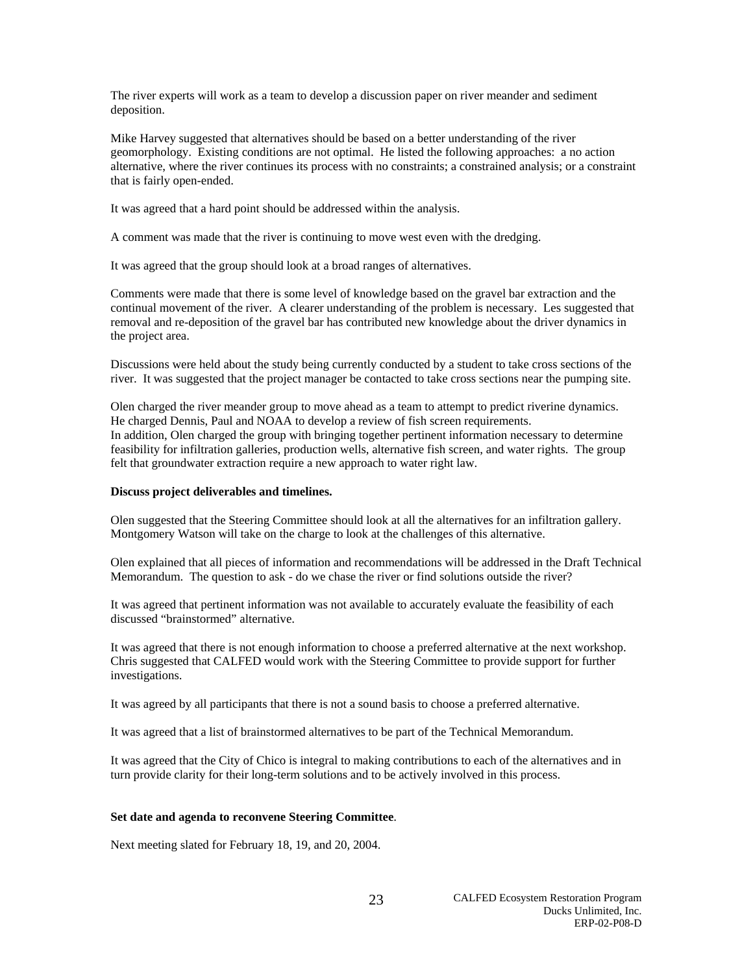The river experts will work as a team to develop a discussion paper on river meander and sediment deposition.

Mike Harvey suggested that alternatives should be based on a better understanding of the river geomorphology. Existing conditions are not optimal. He listed the following approaches: a no action alternative, where the river continues its process with no constraints; a constrained analysis; or a constraint that is fairly open-ended.

It was agreed that a hard point should be addressed within the analysis.

A comment was made that the river is continuing to move west even with the dredging.

It was agreed that the group should look at a broad ranges of alternatives.

Comments were made that there is some level of knowledge based on the gravel bar extraction and the continual movement of the river. A clearer understanding of the problem is necessary. Les suggested that removal and re-deposition of the gravel bar has contributed new knowledge about the driver dynamics in the project area.

Discussions were held about the study being currently conducted by a student to take cross sections of the river. It was suggested that the project manager be contacted to take cross sections near the pumping site.

Olen charged the river meander group to move ahead as a team to attempt to predict riverine dynamics. He charged Dennis, Paul and NOAA to develop a review of fish screen requirements. In addition, Olen charged the group with bringing together pertinent information necessary to determine feasibility for infiltration galleries, production wells, alternative fish screen, and water rights. The group felt that groundwater extraction require a new approach to water right law.

### **Discuss project deliverables and timelines.**

Olen suggested that the Steering Committee should look at all the alternatives for an infiltration gallery. Montgomery Watson will take on the charge to look at the challenges of this alternative.

Olen explained that all pieces of information and recommendations will be addressed in the Draft Technical Memorandum. The question to ask - do we chase the river or find solutions outside the river?

It was agreed that pertinent information was not available to accurately evaluate the feasibility of each discussed "brainstormed" alternative.

It was agreed that there is not enough information to choose a preferred alternative at the next workshop. Chris suggested that CALFED would work with the Steering Committee to provide support for further investigations.

It was agreed by all participants that there is not a sound basis to choose a preferred alternative.

It was agreed that a list of brainstormed alternatives to be part of the Technical Memorandum.

It was agreed that the City of Chico is integral to making contributions to each of the alternatives and in turn provide clarity for their long-term solutions and to be actively involved in this process.

#### **Set date and agenda to reconvene Steering Committee**.

Next meeting slated for February 18, 19, and 20, 2004.